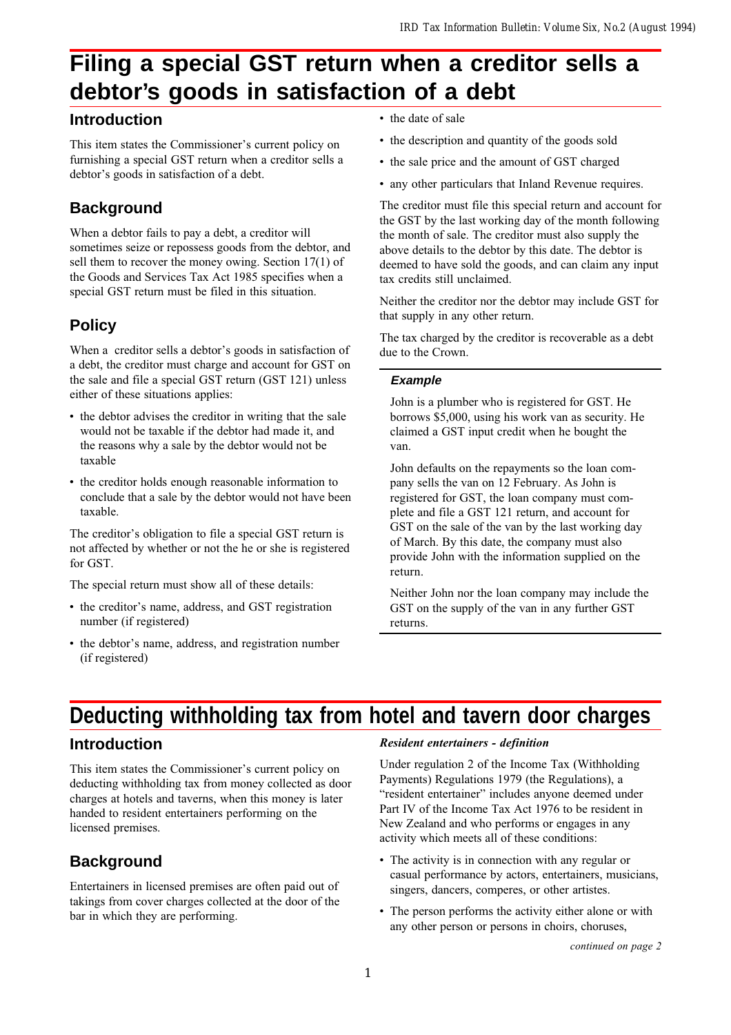## **Filing a special GST return when a creditor sells a debtor's goods in satisfaction of a debt**

## **Introduction**

This item states the Commissioner's current policy on furnishing a special GST return when a creditor sells a debtor's goods in satisfaction of a debt.

## **Background**

When a debtor fails to pay a debt, a creditor will sometimes seize or repossess goods from the debtor, and sell them to recover the money owing. Section 17(1) of the Goods and Services Tax Act 1985 specifies when a special GST return must be filed in this situation.

## **Policy**

When a creditor sells a debtor's goods in satisfaction of a debt, the creditor must charge and account for GST on the sale and file a special GST return (GST 121) unless either of these situations applies:

- the debtor advises the creditor in writing that the sale would not be taxable if the debtor had made it, and the reasons why a sale by the debtor would not be taxable
- the creditor holds enough reasonable information to conclude that a sale by the debtor would not have been taxable.

The creditor's obligation to file a special GST return is not affected by whether or not the he or she is registered for GST.

The special return must show all of these details:

- the creditor's name, address, and GST registration number (if registered)
- the debtor's name, address, and registration number (if registered)
- the date of sale
- the description and quantity of the goods sold
- the sale price and the amount of GST charged
- any other particulars that Inland Revenue requires.

The creditor must file this special return and account for the GST by the last working day of the month following the month of sale. The creditor must also supply the above details to the debtor by this date. The debtor is deemed to have sold the goods, and can claim any input tax credits still unclaimed.

Neither the creditor nor the debtor may include GST for that supply in any other return.

The tax charged by the creditor is recoverable as a debt due to the Crown.

#### **Example**

John is a plumber who is registered for GST. He borrows \$5,000, using his work van as security. He claimed a GST input credit when he bought the van.

John defaults on the repayments so the loan company sells the van on 12 February. As John is registered for GST, the loan company must complete and file a GST 121 return, and account for GST on the sale of the van by the last working day of March. By this date, the company must also provide John with the information supplied on the return.

Neither John nor the loan company may include the GST on the supply of the van in any further GST returns.

## **Deducting withholding tax from hotel and tavern door charges**

## **Introduction**

This item states the Commissioner's current policy on deducting withholding tax from money collected as door charges at hotels and taverns, when this money is later handed to resident entertainers performing on the licensed premises.

## **Background**

Entertainers in licensed premises are often paid out of takings from cover charges collected at the door of the bar in which they are performing.

#### Resident entertainers - definition

Under regulation 2 of the Income Tax (Withholding Payments) Regulations 1979 (the Regulations), a "resident entertainer" includes anyone deemed under Part IV of the Income Tax Act 1976 to be resident in New Zealand and who performs or engages in any activity which meets all of these conditions:

- The activity is in connection with any regular or casual performance by actors, entertainers, musicians, singers, dancers, comperes, or other artistes.
- The person performs the activity either alone or with any other person or persons in choirs, choruses,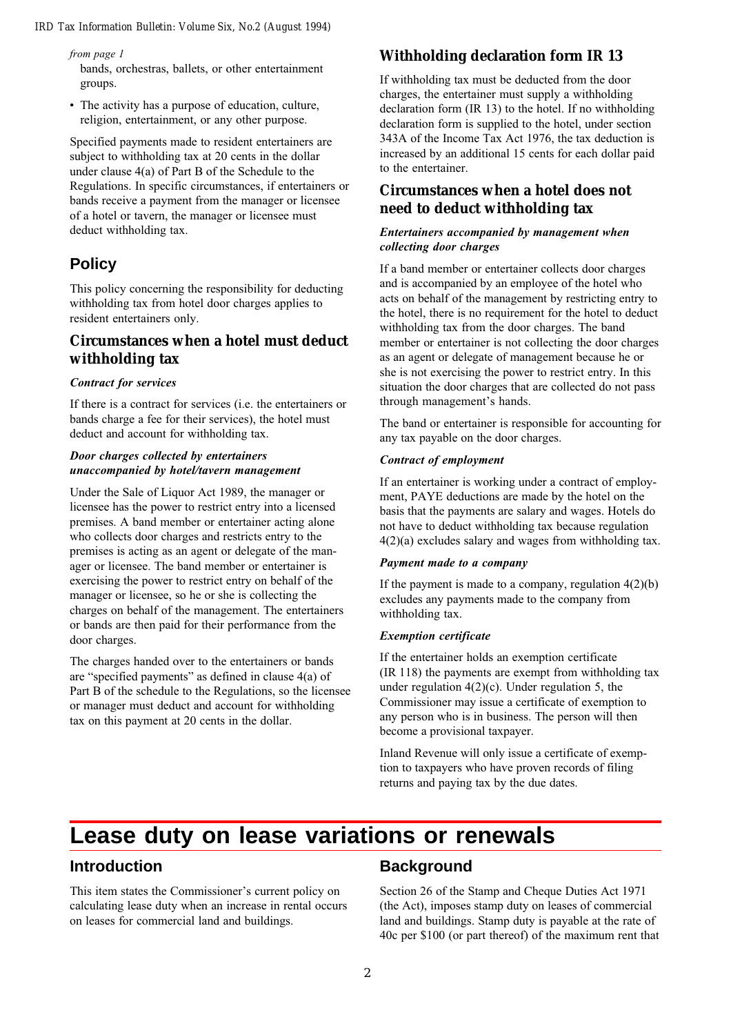from page 1

bands, orchestras, ballets, or other entertainment groups.

 The activity has a purpose of education, culture, religion, entertainment, or any other purpose.

Specified payments made to resident entertainers are subject to withholding tax at 20 cents in the dollar under clause 4(a) of Part B of the Schedule to the Regulations. In specific circumstances, if entertainers or bands receive a payment from the manager or licensee of a hotel or tavern, the manager or licensee must deduct withholding tax.

## **Policy**

This policy concerning the responsibility for deducting withholding tax from hotel door charges applies to resident entertainers only.

### **Circumstances when a hotel must deduct withholding tax**

#### Contract for services

If there is a contract for services (i.e. the entertainers or bands charge a fee for their services), the hotel must deduct and account for withholding tax.

#### Door charges collected by entertainers unaccompanied by hotel/tavern management

Under the Sale of Liquor Act 1989, the manager or licensee has the power to restrict entry into a licensed premises. A band member or entertainer acting alone who collects door charges and restricts entry to the premises is acting as an agent or delegate of the manager or licensee. The band member or entertainer is exercising the power to restrict entry on behalf of the manager or licensee, so he or she is collecting the charges on behalf of the management. The entertainers or bands are then paid for their performance from the door charges.

The charges handed over to the entertainers or bands are "specified payments" as defined in clause  $4(a)$  of Part B of the schedule to the Regulations, so the licensee or manager must deduct and account for withholding tax on this payment at 20 cents in the dollar.

## **Withholding declaration form IR 13**

If withholding tax must be deducted from the door charges, the entertainer must supply a withholding declaration form (IR 13) to the hotel. If no withholding declaration form is supplied to the hotel, under section 343A of the Income Tax Act 1976, the tax deduction is increased by an additional 15 cents for each dollar paid to the entertainer.

### **Circumstances when a hotel does not need to deduct withholding tax**

#### Entertainers accompanied by management when collecting door charges

If a band member or entertainer collects door charges and is accompanied by an employee of the hotel who acts on behalf of the management by restricting entry to the hotel, there is no requirement for the hotel to deduct withholding tax from the door charges. The band member or entertainer is not collecting the door charges as an agent or delegate of management because he or she is not exercising the power to restrict entry. In this situation the door charges that are collected do not pass through management's hands.

The band or entertainer is responsible for accounting for any tax payable on the door charges.

#### Contract of employment

If an entertainer is working under a contract of employment, PAYE deductions are made by the hotel on the basis that the payments are salary and wages. Hotels do not have to deduct withholding tax because regulation 4(2)(a) excludes salary and wages from withholding tax.

#### Payment made to a company

If the payment is made to a company, regulation  $4(2)(b)$ excludes any payments made to the company from withholding tax.

#### Exemption certificate

If the entertainer holds an exemption certificate (IR 118) the payments are exempt from withholding tax under regulation 4(2)(c). Under regulation 5, the Commissioner may issue a certificate of exemption to any person who is in business. The person will then become a provisional taxpayer.

Inland Revenue will only issue a certificate of exemption to taxpayers who have proven records of filing returns and paying tax by the due dates.

## **Lease duty on lease variations or renewals**

### **Introduction**

This item states the Commissioner's current policy on calculating lease duty when an increase in rental occurs on leases for commercial land and buildings.

### **Background**

Section 26 of the Stamp and Cheque Duties Act 1971 (the Act), imposes stamp duty on leases of commercial land and buildings. Stamp duty is payable at the rate of 40c per \$100 (or part thereof) of the maximum rent that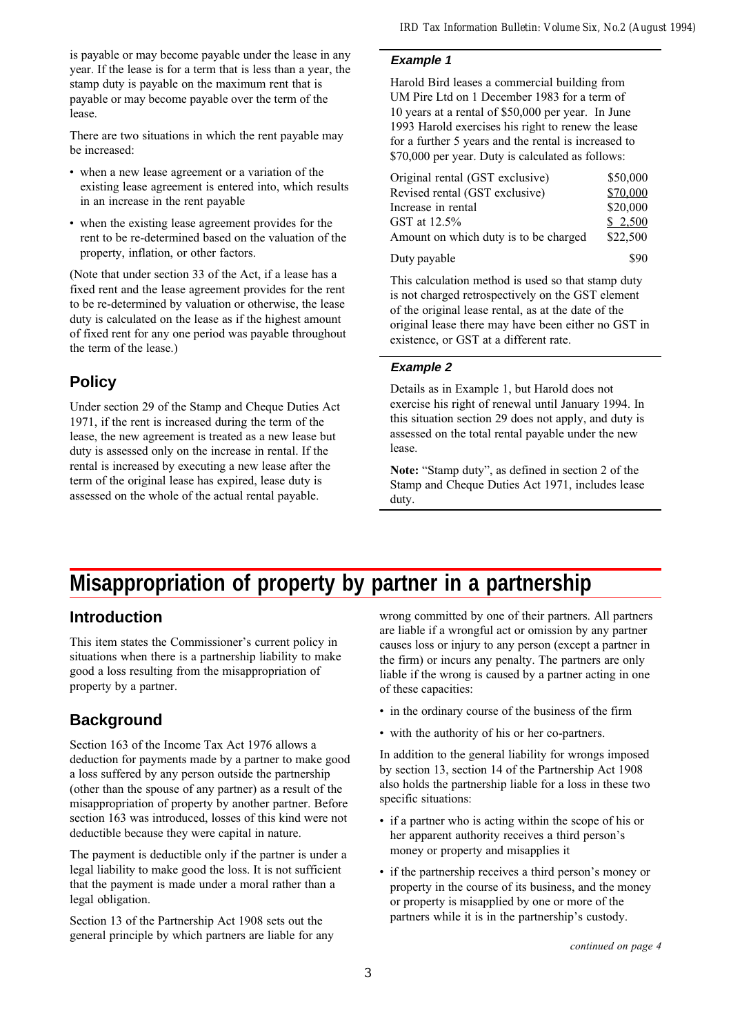is payable or may become payable under the lease in any year. If the lease is for a term that is less than a year, the stamp duty is payable on the maximum rent that is payable or may become payable over the term of the lease.

There are two situations in which the rent payable may be increased:

- when a new lease agreement or a variation of the existing lease agreement is entered into, which results in an increase in the rent payable
- when the existing lease agreement provides for the rent to be re-determined based on the valuation of the property, inflation, or other factors.

(Note that under section 33 of the Act, if a lease has a fixed rent and the lease agreement provides for the rent to be re-determined by valuation or otherwise, the lease duty is calculated on the lease as if the highest amount of fixed rent for any one period was payable throughout the term of the lease.)

## **Policy**

Under section 29 of the Stamp and Cheque Duties Act 1971, if the rent is increased during the term of the lease, the new agreement is treated as a new lease but duty is assessed only on the increase in rental. If the rental is increased by executing a new lease after the term of the original lease has expired, lease duty is assessed on the whole of the actual rental payable.

#### **Example 1**

Harold Bird leases a commercial building from UM Pire Ltd on 1 December 1983 for a term of 10 years at a rental of \$50,000 per year. In June 1993 Harold exercises his right to renew the lease for a further 5 years and the rental is increased to \$70,000 per year. Duty is calculated as follows:

| Original rental (GST exclusive)       | \$50,000 |
|---------------------------------------|----------|
| Revised rental (GST exclusive)        | \$70,000 |
| Increase in rental                    | \$20,000 |
| GST at 12.5%                          | \$2,500  |
| Amount on which duty is to be charged | \$22,500 |
| Duty payable                          | \$90     |

This calculation method is used so that stamp duty is not charged retrospectively on the GST element of the original lease rental, as at the date of the original lease there may have been either no GST in existence, or GST at a different rate.

#### **Example 2**

Details as in Example 1, but Harold does not exercise his right of renewal until January 1994. In this situation section 29 does not apply, and duty is assessed on the total rental payable under the new lease.

Note: "Stamp duty", as defined in section 2 of the Stamp and Cheque Duties Act 1971, includes lease duty.

## **Misappropriation of property by partner in a partnership**

## **Introduction**

This item states the Commissioner's current policy in situations when there is a partnership liability to make good a loss resulting from the misappropriation of property by a partner.

## **Background**

Section 163 of the Income Tax Act 1976 allows a deduction for payments made by a partner to make good a loss suffered by any person outside the partnership (other than the spouse of any partner) as a result of the misappropriation of property by another partner. Before section 163 was introduced, losses of this kind were not deductible because they were capital in nature.

The payment is deductible only if the partner is under a legal liability to make good the loss. It is not sufficient that the payment is made under a moral rather than a legal obligation.

Section 13 of the Partnership Act 1908 sets out the general principle by which partners are liable for any wrong committed by one of their partners. All partners are liable if a wrongful act or omission by any partner causes loss or injury to any person (except a partner in the firm) or incurs any penalty. The partners are only liable if the wrong is caused by a partner acting in one of these capacities:

- $\cdot$  in the ordinary course of the business of the firm
- with the authority of his or her co-partners.

In addition to the general liability for wrongs imposed by section 13, section 14 of the Partnership Act 1908 also holds the partnership liable for a loss in these two specific situations:

- if a partner who is acting within the scope of his or her apparent authority receives a third person's money or property and misapplies it
- if the partnership receives a third person's money or property in the course of its business, and the money or property is misapplied by one or more of the partners while it is in the partnership's custody.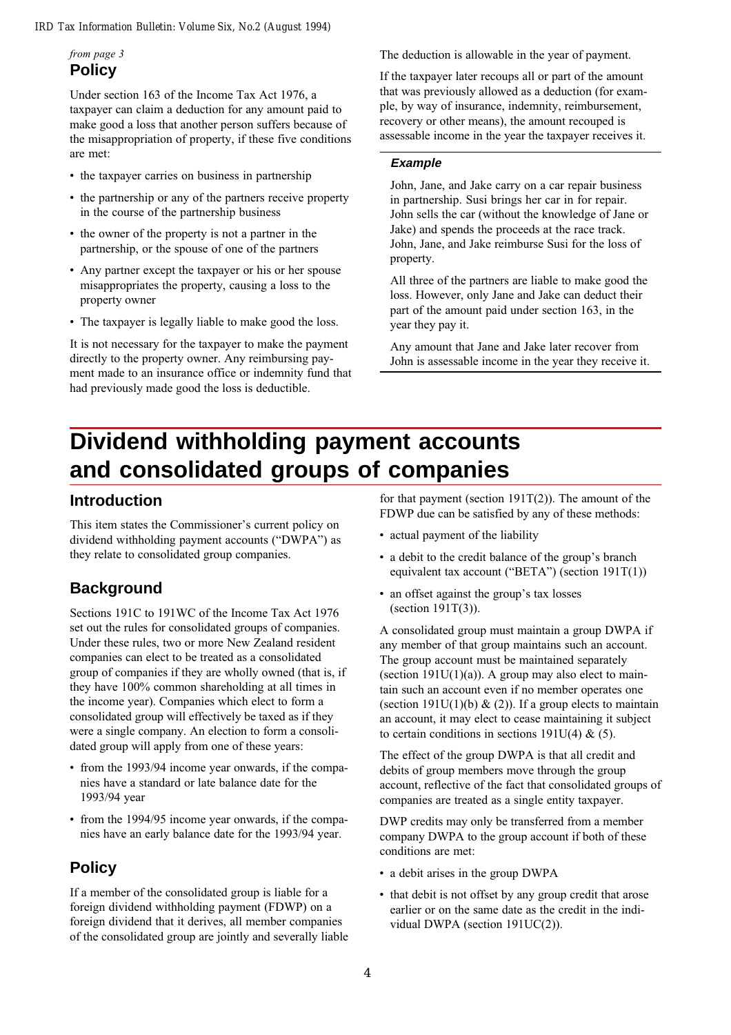### from page 3 **Policy**

Under section 163 of the Income Tax Act 1976, a taxpayer can claim a deduction for any amount paid to make good a loss that another person suffers because of the misappropriation of property, if these five conditions are met:

- the taxpayer carries on business in partnership
- the partnership or any of the partners receive property in the course of the partnership business
- the owner of the property is not a partner in the partnership, or the spouse of one of the partners
- Any partner except the taxpayer or his or her spouse misappropriates the property, causing a loss to the property owner
- The taxpayer is legally liable to make good the loss.

It is not necessary for the taxpayer to make the payment directly to the property owner. Any reimbursing payment made to an insurance office or indemnity fund that had previously made good the loss is deductible.

The deduction is allowable in the year of payment.

If the taxpayer later recoups all or part of the amount that was previously allowed as a deduction (for example, by way of insurance, indemnity, reimbursement, recovery or other means), the amount recouped is assessable income in the year the taxpayer receives it.

#### **Example**

John, Jane, and Jake carry on a car repair business in partnership. Susi brings her car in for repair. John sells the car (without the knowledge of Jane or Jake) and spends the proceeds at the race track. John, Jane, and Jake reimburse Susi for the loss of property.

All three of the partners are liable to make good the loss. However, only Jane and Jake can deduct their part of the amount paid under section 163, in the year they pay it.

Any amount that Jane and Jake later recover from John is assessable income in the year they receive it.

## **Dividend withholding payment accounts and consolidated groups of companies**

## **Introduction**

This item states the Commissioner's current policy on dividend withholding payment accounts ("DWPA") as they relate to consolidated group companies.

## **Background**

Sections 191C to 191WC of the Income Tax Act 1976 set out the rules for consolidated groups of companies. Under these rules, two or more New Zealand resident companies can elect to be treated as a consolidated group of companies if they are wholly owned (that is, if they have 100% common shareholding at all times in the income year). Companies which elect to form a consolidated group will effectively be taxed as if they were a single company. An election to form a consolidated group will apply from one of these years:

- from the 1993/94 income year onwards, if the companies have a standard or late balance date for the 1993/94 year
- from the 1994/95 income year onwards, if the companies have an early balance date for the 1993/94 year.

## **Policy**

If a member of the consolidated group is liable for a foreign dividend withholding payment (FDWP) on a foreign dividend that it derives, all member companies of the consolidated group are jointly and severally liable

for that payment (section  $191T(2)$ ). The amount of the FDWP due can be satisfied by any of these methods:

- actual payment of the liability
- a debit to the credit balance of the group's branch equivalent tax account ("BETA") (section  $191T(1)$ )
- an offset against the group's tax losses (section 191T(3)).

A consolidated group must maintain a group DWPA if any member of that group maintains such an account. The group account must be maintained separately (section  $191U(1)(a)$ ). A group may also elect to maintain such an account even if no member operates one (section 191U(1)(b) & (2)). If a group elects to maintain an account, it may elect to cease maintaining it subject to certain conditions in sections 191U(4)  $\&$  (5).

The effect of the group DWPA is that all credit and debits of group members move through the group account, reflective of the fact that consolidated groups of companies are treated as a single entity taxpayer.

DWP credits may only be transferred from a member company DWPA to the group account if both of these conditions are met:

- a debit arises in the group DWPA
- that debit is not offset by any group credit that arose earlier or on the same date as the credit in the individual DWPA (section 191UC(2)).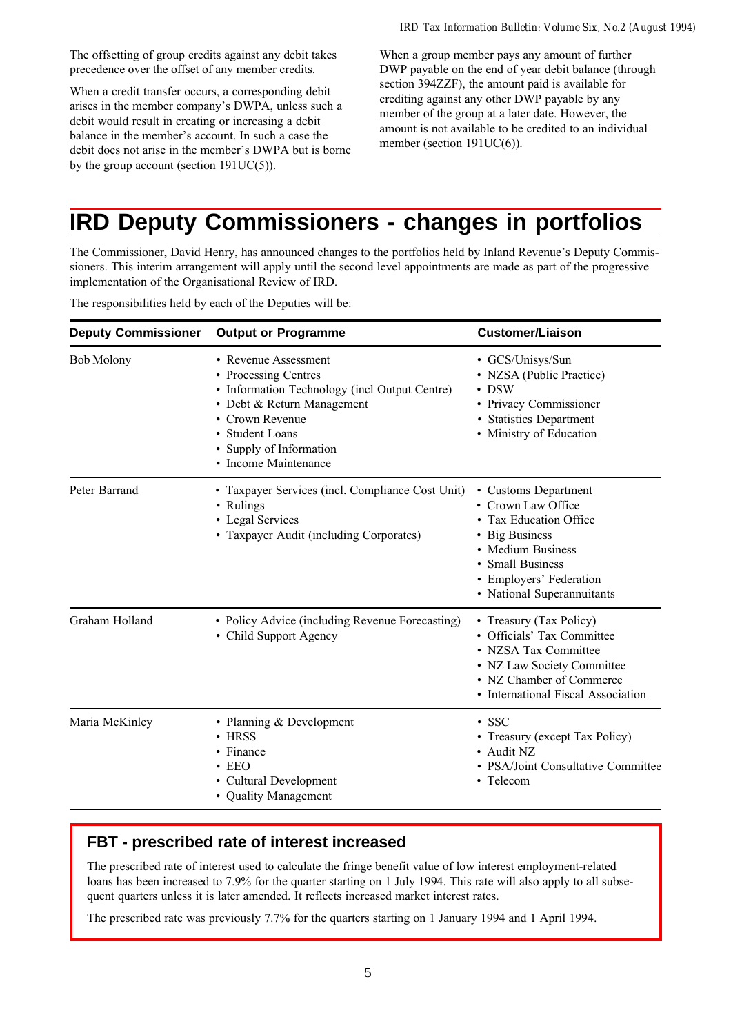The offsetting of group credits against any debit takes precedence over the offset of any member credits.

When a credit transfer occurs, a corresponding debit arises in the member company's DWPA, unless such a debit would result in creating or increasing a debit balance in the member's account. In such a case the debit does not arise in the member's DWPA but is borne by the group account (section 191UC(5)).

When a group member pays any amount of further DWP payable on the end of year debit balance (through section 394ZZF), the amount paid is available for crediting against any other DWP payable by any member of the group at a later date. However, the amount is not available to be credited to an individual member (section 191UC(6)).

## **IRD Deputy Commissioners - changes in portfolios**

The Commissioner, David Henry, has announced changes to the portfolios held by Inland Revenue's Deputy Commissioners. This interim arrangement will apply until the second level appointments are made as part of the progressive implementation of the Organisational Review of IRD.

| <b>Deputy Commissioner</b> | <b>Output or Programme</b>                                                                                                                                                                                         | <b>Customer/Liaison</b>                                                                                                                                                                       |
|----------------------------|--------------------------------------------------------------------------------------------------------------------------------------------------------------------------------------------------------------------|-----------------------------------------------------------------------------------------------------------------------------------------------------------------------------------------------|
| <b>Bob Molony</b>          | • Revenue Assessment<br>• Processing Centres<br>• Information Technology (incl Output Centre)<br>• Debt & Return Management<br>• Crown Revenue<br>• Student Loans<br>Supply of Information<br>• Income Maintenance | · GCS/Unisys/Sun<br>• NZSA (Public Practice)<br>$\cdot$ DSW<br>• Privacy Commissioner<br><b>Statistics Department</b><br>• Ministry of Education                                              |
| Peter Barrand              | • Taxpayer Services (incl. Compliance Cost Unit)<br>• Rulings<br>• Legal Services<br>• Taxpayer Audit (including Corporates)                                                                                       | • Customs Department<br>• Crown Law Office<br>• Tax Education Office<br><b>Big Business</b><br>• Medium Business<br>• Small Business<br>• Employers' Federation<br>• National Superannuitants |
| Graham Holland             | • Policy Advice (including Revenue Forecasting)<br>• Child Support Agency                                                                                                                                          | • Treasury (Tax Policy)<br>• Officials' Tax Committee<br>• NZSA Tax Committee<br>• NZ Law Society Committee<br>• NZ Chamber of Commerce<br>• International Fiscal Association                 |
| Maria McKinley             | • Planning & Development<br>• HRSS<br>• Finance<br>$\cdot$ EEO<br>• Cultural Development<br>• Quality Management                                                                                                   | $\cdot$ SSC<br>• Treasury (except Tax Policy)<br>• Audit NZ<br>• PSA/Joint Consultative Committee<br>• Telecom                                                                                |

The responsibilities held by each of the Deputies will be:

## **FBT - prescribed rate of interest increased**

The prescribed rate of interest used to calculate the fringe benefit value of low interest employment-related loans has been increased to 7.9% for the quarter starting on 1 July 1994. This rate will also apply to all subsequent quarters unless it is later amended. It reflects increased market interest rates.

The prescribed rate was previously 7.7% for the quarters starting on 1 January 1994 and 1 April 1994.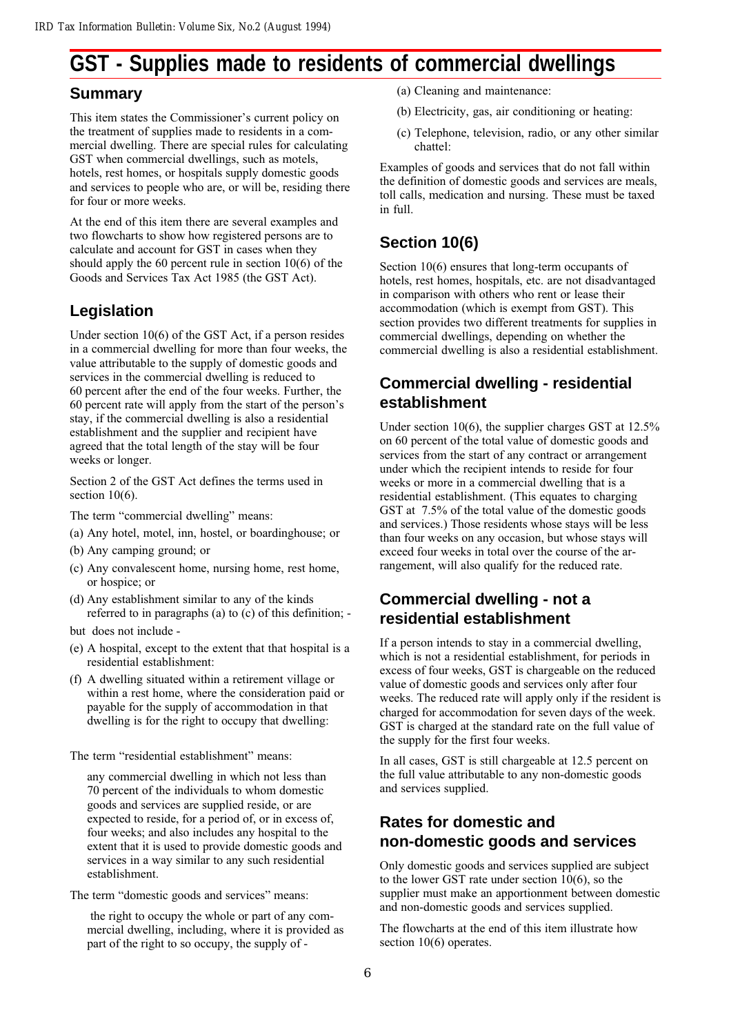## **GST - Supplies made to residents of commercial dwellings**

### **Summary**

This item states the Commissioner's current policy on the treatment of supplies made to residents in a commercial dwelling. There are special rules for calculating GST when commercial dwellings, such as motels, hotels, rest homes, or hospitals supply domestic goods and services to people who are, or will be, residing there for four or more weeks.

At the end of this item there are several examples and two flowcharts to show how registered persons are to calculate and account for GST in cases when they should apply the 60 percent rule in section  $10(6)$  of the Goods and Services Tax Act 1985 (the GST Act).

## **Legislation**

Under section 10(6) of the GST Act, if a person resides in a commercial dwelling for more than four weeks, the value attributable to the supply of domestic goods and services in the commercial dwelling is reduced to 60 percent after the end of the four weeks. Further, the  $60$  percent rate will apply from the start of the person's stay, if the commercial dwelling is also a residential establishment and the supplier and recipient have agreed that the total length of the stay will be four weeks or longer.

Section 2 of the GST Act defines the terms used in section  $10(6)$ .

The term "commercial dwelling" means:

- (a) Any hotel, motel, inn, hostel, or boardinghouse; or
- (b) Any camping ground; or
- (c) Any convalescent home, nursing home, rest home, or hospice; or
- (d) Any establishment similar to any of the kinds referred to in paragraphs (a) to (c) of this definition; -

but does not include -

- (e) A hospital, except to the extent that that hospital is a residential establishment:
- (f) A dwelling situated within a retirement village or within a rest home, where the consideration paid or payable for the supply of accommodation in that dwelling is for the right to occupy that dwelling:

The term "residential establishment" means:

any commercial dwelling in which not less than 70 percent of the individuals to whom domestic goods and services are supplied reside, or are expected to reside, for a period of, or in excess of, four weeks; and also includes any hospital to the extent that it is used to provide domestic goods and services in a way similar to any such residential establishment.

The term "domestic goods and services" means:

 the right to occupy the whole or part of any commercial dwelling, including, where it is provided as part of the right to so occupy, the supply of -

- (a) Cleaning and maintenance:
- (b) Electricity, gas, air conditioning or heating:
- (c) Telephone, television, radio, or any other similar chattel:

Examples of goods and services that do not fall within the definition of domestic goods and services are meals, toll calls, medication and nursing. These must be taxed in full.

## **Section 10(6)**

Section 10(6) ensures that long-term occupants of hotels, rest homes, hospitals, etc. are not disadvantaged in comparison with others who rent or lease their accommodation (which is exempt from GST). This section provides two different treatments for supplies in commercial dwellings, depending on whether the commercial dwelling is also a residential establishment.

## **Commercial dwelling - residential establishment**

Under section 10(6), the supplier charges GST at 12.5% on 60 percent of the total value of domestic goods and services from the start of any contract or arrangement under which the recipient intends to reside for four weeks or more in a commercial dwelling that is a residential establishment. (This equates to charging GST at 7.5% of the total value of the domestic goods and services.) Those residents whose stays will be less than four weeks on any occasion, but whose stays will exceed four weeks in total over the course of the arrangement, will also qualify for the reduced rate.

## **Commercial dwelling - not a residential establishment**

If a person intends to stay in a commercial dwelling, which is not a residential establishment, for periods in excess of four weeks, GST is chargeable on the reduced value of domestic goods and services only after four weeks. The reduced rate will apply only if the resident is charged for accommodation for seven days of the week. GST is charged at the standard rate on the full value of the supply for the first four weeks.

In all cases, GST is still chargeable at 12.5 percent on the full value attributable to any non-domestic goods and services supplied.

## **Rates for domestic and non-domestic goods and services**

Only domestic goods and services supplied are subject to the lower GST rate under section 10(6), so the supplier must make an apportionment between domestic and non-domestic goods and services supplied.

The flowcharts at the end of this item illustrate how section 10(6) operates.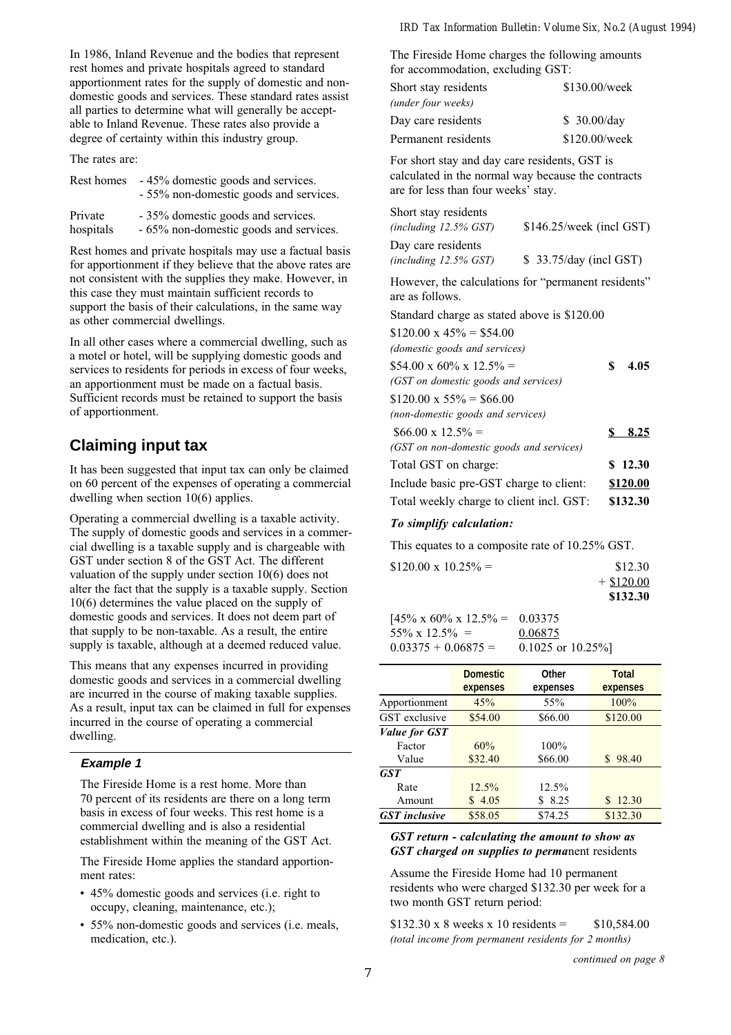In 1986, Inland Revenue and the bodies that represent rest homes and private hospitals agreed to standard apportionment rates for the supply of domestic and nondomestic goods and services. These standard rates assist all parties to determine what will generally be acceptable to Inland Revenue. These rates also provide a degree of certainty within this industry group.

The rates are:

|           | Rest homes - 45% domestic goods and services.<br>- 55% non-domestic goods and services. |
|-----------|-----------------------------------------------------------------------------------------|
| Private   | - 35% domestic goods and services.                                                      |
| hospitals | - 65% non-domestic goods and services.                                                  |

Rest homes and private hospitals may use a factual basis for apportionment if they believe that the above rates are not consistent with the supplies they make. However, in this case they must maintain sufficient records to support the basis of their calculations, in the same way as other commercial dwellings.

In all other cases where a commercial dwelling, such as a motel or hotel, will be supplying domestic goods and services to residents for periods in excess of four weeks, an apportionment must be made on a factual basis. Sufficient records must be retained to support the basis of apportionment.

## **Claiming input tax**

It has been suggested that input tax can only be claimed on 60 percent of the expenses of operating a commercial dwelling when section 10(6) applies.

Operating a commercial dwelling is a taxable activity. The supply of domestic goods and services in a commercial dwelling is a taxable supply and is chargeable with GST under section 8 of the GST Act. The different valuation of the supply under section 10(6) does not alter the fact that the supply is a taxable supply. Section 10(6) determines the value placed on the supply of domestic goods and services. It does not deem part of that supply to be non-taxable. As a result, the entire supply is taxable, although at a deemed reduced value.

This means that any expenses incurred in providing domestic goods and services in a commercial dwelling are incurred in the course of making taxable supplies. As a result, input tax can be claimed in full for expenses incurred in the course of operating a commercial dwelling.

#### **Example 1**

The Fireside Home is a rest home. More than 70 percent of its residents are there on a long term basis in excess of four weeks. This rest home is a commercial dwelling and is also a residential establishment within the meaning of the GST Act.

The Fireside Home applies the standard apportionment rates:

- 45% domestic goods and services (i.e. right to occupy, cleaning, maintenance, etc.);
- 55% non-domestic goods and services (i.e. meals, medication, etc.).

The Fireside Home charges the following amounts for accommodation, excluding GST:

| Short stay residents | \$130.00/week |
|----------------------|---------------|
| (under four weeks)   |               |
| Day care residents   | \$30.00/day   |
| Permanent residents  | \$120.00/week |

For short stay and day care residents, GST is calculated in the normal way because the contracts are for less than four weeks' stay.

| Short stay residents                                                   |                          |     |          |
|------------------------------------------------------------------------|--------------------------|-----|----------|
| (including $12.5\%$ GST)                                               | \$146.25/week (incl GST) |     |          |
| Day care residents                                                     |                          |     |          |
| $(including\ 12.5\%\ GST)$                                             | \$33.75/day (incl GST)   |     |          |
| However, the calculations for "permanent residents"<br>are as follows. |                          |     |          |
| Standard charge as stated above is \$120.00                            |                          |     |          |
| $$120.00 \times 45\% = $54.00$                                         |                          |     |          |
| (domestic goods and services)                                          |                          |     |          |
| $$54.00 \times 60\% \times 12.5\% =$                                   |                          | \$  | 4.05     |
| (GST on domestic goods and services)                                   |                          |     |          |
| $$120.00 \times 55\% = $66.00$                                         |                          |     |          |
| (non-domestic goods and services)                                      |                          |     |          |
| $$66.00 \times 12.5\% =$                                               |                          | SS. | 8.25     |
| (GST on non-domestic goods and services)                               |                          |     |          |
| Total GST on charge:                                                   |                          |     | \$12.30  |
| Include basic pre-GST charge to client:                                |                          |     | \$120.00 |
| Total weekly charge to client incl. GST:                               |                          |     | \$132.30 |
| To simplify calculation:                                               |                          |     |          |

This equates to a composite rate of 10.25% GST.

| $$120.00 \times 10.25\% =$ | \$12.30      |
|----------------------------|--------------|
|                            | $+$ \$120.00 |
|                            | \$132.30     |
|                            |              |

 $[45\% \times 60\% \times 12.5\% = 0.03375]$  $55\% \times 12.5\% = 0.06875$  $0.03375 + 0.06875 = 0.1025$  or  $10.25\%$ 

|                      | <b>Domestic</b><br>expenses | <b>Other</b><br>expenses | <b>Total</b><br>expenses |
|----------------------|-----------------------------|--------------------------|--------------------------|
| Apportionment        | 45%                         | 55%                      | 100%                     |
| <b>GST</b> exclusive | \$54.00                     | \$66.00                  | \$120.00                 |
| <b>Value for GST</b> |                             |                          |                          |
| Factor               | 60%                         | 100%                     |                          |
| Value                | \$32.40                     | \$66.00                  | \$98.40                  |
| GST                  |                             |                          |                          |
| Rate                 | $12.5\%$                    | 12.5%                    |                          |
| Amount               | \$4.05                      | 8.25<br>S                | 12.30                    |
| <b>GST</b> inclusive | \$58.05                     | \$74.25                  | \$132.30                 |

#### GST return - calculating the amount to show as GST charged on supplies to permanent residents

Assume the Fireside Home had 10 permanent residents who were charged \$132.30 per week for a two month GST return period:

 $$132.30 \times 8$  weeks x 10 residents =  $$10.584.00$ (total income from permanent residents for 2 months)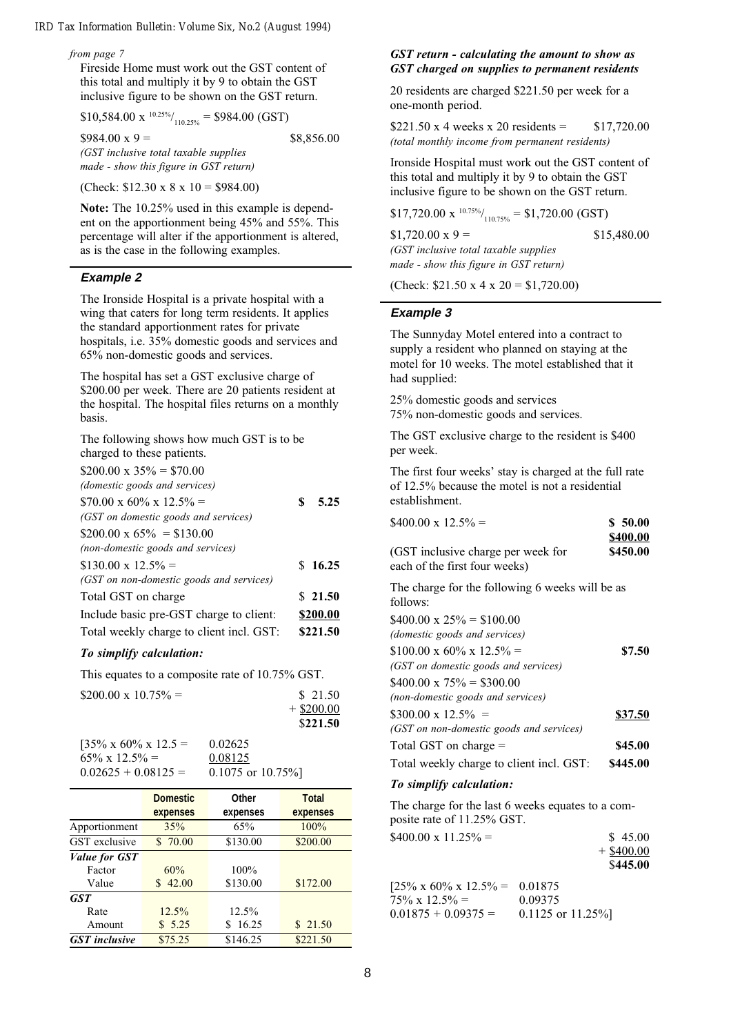#### from page 7

Fireside Home must work out the GST content of this total and multiply it by 9 to obtain the GST inclusive figure to be shown on the GST return.

 $$10,584.00 \text{ x}^{10.25\%}\text{/}_{110.25\%} = $984.00 \text{ (GST)}$ 

 $$984.00 \text{ x } 9 =$  \$8,856.00

(GST inclusive total taxable supplies made - show this figure in GST return)

(Check:  $$12.30 \times 8 \times 10 = $984.00$ )

Note: The 10.25% used in this example is dependent on the apportionment being 45% and 55%. This percentage will alter if the apportionment is altered, as is the case in the following examples.

#### **Example 2**

The Ironside Hospital is a private hospital with a wing that caters for long term residents. It applies the standard apportionment rates for private hospitals, i.e. 35% domestic goods and services and 65% non-domestic goods and services.

The hospital has set a GST exclusive charge of \$200.00 per week. There are 20 patients resident at the hospital. The hospital files returns on a monthly basis.

The following shows how much GST is to be charged to these patients.

| $$200.00 \times 35\% = $70.00$           |          |  |
|------------------------------------------|----------|--|
| (domestic goods and services)            |          |  |
| $$70.00 \times 60\% \times 12.5\% =$     | 5.25     |  |
| (GST on domestic goods and services)     |          |  |
| $$200.00 \times 65\% = $130.00$          |          |  |
| (non-domestic goods and services)        |          |  |
| $$130.00 \times 12.5\% =$                | \$16.25  |  |
| (GST on non-domestic goods and services) |          |  |
| Total GST on charge                      | \$21.50  |  |
| Include basic pre-GST charge to client:  | \$200.00 |  |
| Total weekly charge to client incl. GST: | \$221.50 |  |
|                                          |          |  |

#### To simplify calculation:

This equates to a composite rate of 10.75% GST.

| $$200.00 \times 10.75\% =$     |        | \$21.50      |
|--------------------------------|--------|--------------|
|                                |        | $+$ \$200.00 |
|                                |        | \$221.50     |
| $12.50 / 12.60 / 12.52 = 12.5$ | 0.0202 |              |

| $[35\% \times 60\% \times 12.5]$ | 0.02625               |
|----------------------------------|-----------------------|
| $65\% \times 12.5\% =$           | 0.08125               |
| $0.02625 + 0.08125 =$            | $0.1075$ or $10.75\%$ |

|                                         | <b>Domestic</b><br>expenses | <b>Other</b><br>expenses | <b>Total</b><br>expenses |
|-----------------------------------------|-----------------------------|--------------------------|--------------------------|
| Apportionment                           | 35%                         | 65%                      | 100%                     |
| <b>GST</b> exclusive                    | \$70.00                     | \$130.00                 | \$200.00                 |
| <i>Value for GST</i><br>Factor<br>Value | 60%<br>42.00                | 100%<br>\$130.00         | \$172.00                 |
| <b>GST</b><br>Rate<br>Amount            | $12.5\%$<br>\$5.25          | 12.5%<br>16.25           | \$21.50                  |
| <b>GST</b> inclusive                    | \$75.25                     | \$146.25                 | \$221.50                 |

#### GST return - calculating the amount to show as GST charged on supplies to permanent residents

20 residents are charged \$221.50 per week for a one-month period.

\$221.50 x 4 weeks x 20 residents =  $$17,720.00$ (total monthly income from permanent residents)

Ironside Hospital must work out the GST content of this total and multiply it by 9 to obtain the GST inclusive figure to be shown on the GST return.

 $$17,720.00 \times \frac{10.75\%}{110.75\%} = $1,720.00 \text{ (GST)}$ 

 $$1,720.00 \text{ x } 9 =$  \$15,480.00 (GST inclusive total taxable supplies made - show this figure in GST return)

(Check:  $$21.50 \times 4 \times 20 = $1,720.00$ )

#### **Example 3**

The Sunnyday Motel entered into a contract to supply a resident who planned on staying at the motel for 10 weeks. The motel established that it had supplied:

25% domestic goods and services 75% non-domestic goods and services.

The GST exclusive charge to the resident is \$400 per week.

The first four weeks' stay is charged at the full rate of 12.5% because the motel is not a residential establishment.

| $$400.00 \times 12.5\% =$<br>(GST inclusive charge per week for<br>each of the first four weeks)                                                                                                                          | \$50.00<br>\$400.00<br>\$450.00 |
|---------------------------------------------------------------------------------------------------------------------------------------------------------------------------------------------------------------------------|---------------------------------|
| The charge for the following 6 weeks will be as<br>follows:                                                                                                                                                               |                                 |
| $$400.00 \times 25\% = $100.00$<br>(domestic goods and services)<br>$$100.00 \times 60\% \times 12.5\% =$<br>(GST on domestic goods and services)<br>$$400.00 \times 75\% = $300.00$<br>(non-domestic goods and services) | \$7.50                          |
| $$300.00 \times 12.5\% =$<br>(GST on non-domestic goods and services)                                                                                                                                                     | \$37.50                         |
| Total GST on charge $=$<br>Total weekly charge to client incl. GST:                                                                                                                                                       | \$45.00<br>\$445.00             |

#### To simplify calculation:

The charge for the last 6 weeks equates to a composite rate of 11.25% GST.  $$400.00 \times 11.25\% =$  \$ 45.00  $+$  \$400.00 \$445.00

 $[25\% \times 60\% \times 12.5\% = 0.01875]$  $75\% \times 12.5\% =$  0.09375  $0.01875 + 0.09375 = 0.1125$  or  $11.25\%$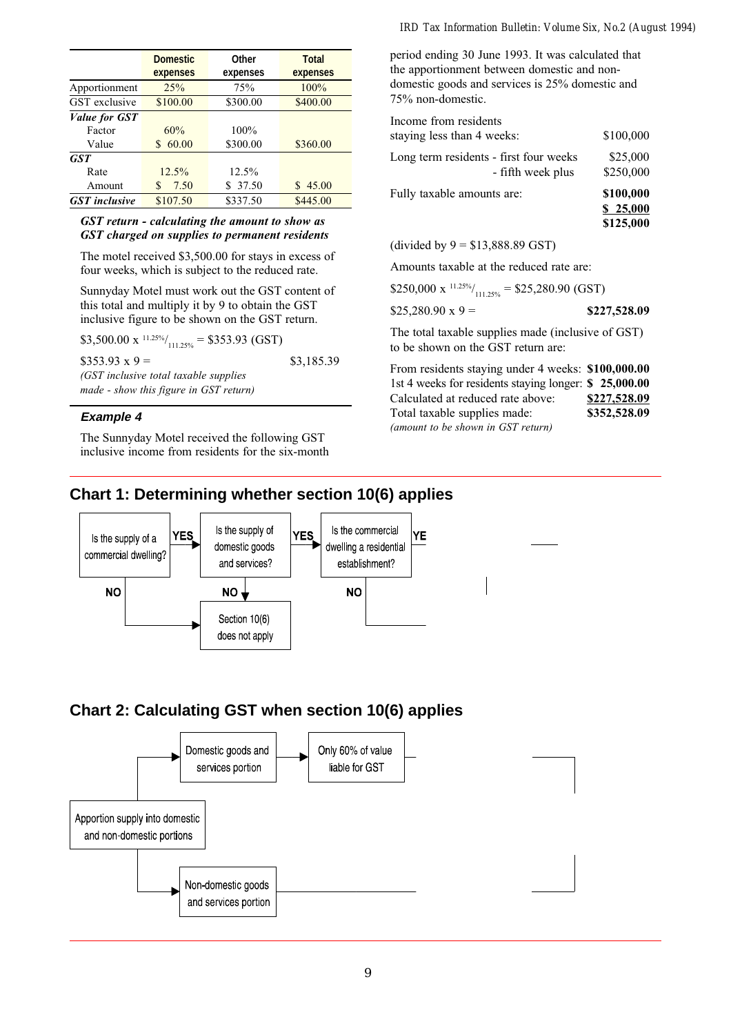|                      | <b>Domestic</b><br>expenses | <b>Other</b><br>expenses | <b>Total</b><br>expenses |
|----------------------|-----------------------------|--------------------------|--------------------------|
| Apportionment        | 25%                         | 75%                      | 100%                     |
| <b>GST</b> exclusive | \$100.00                    | \$300.00                 | \$400.00                 |
| <i>Value for GST</i> |                             |                          |                          |
| Factor               | 60%                         | 100%                     |                          |
| Value                | 60.00<br>S.                 | \$300.00                 | \$360.00                 |
| <b>GST</b>           |                             |                          |                          |
| Rate                 | $12.5\%$                    | 12.5%                    |                          |
| Amount               | 7.50<br>S                   | \$37.50                  | 45.00<br>S               |
| <b>GST</b> inclusive | \$107.50                    | \$337.50                 | \$445.00                 |

#### GST return - calculating the amount to show as GST charged on supplies to permanent residents

The motel received \$3,500.00 for stays in excess of four weeks, which is subject to the reduced rate.

Sunnyday Motel must work out the GST content of this total and multiply it by 9 to obtain the GST inclusive figure to be shown on the GST return.

| \$3,500.00 x $^{11.25\%}/_{111.25\%}$ = \$353.93 (GST) |            |
|--------------------------------------------------------|------------|
| $$353.93 \times 9 =$                                   | \$3,185.39 |
| (GST inclusive total taxable supplies)                 |            |
| made - show this figure in GST return)                 |            |

#### **Example 4**

The Sunnyday Motel received the following GST inclusive income from residents for the six-month period ending 30 June 1993. It was calculated that the apportionment between domestic and nondomestic goods and services is 25% domestic and 75% non-domestic.

| Income from residents                                       |                                    |
|-------------------------------------------------------------|------------------------------------|
| staying less than 4 weeks:                                  | \$100,000                          |
| Long term residents - first four weeks<br>- fifth week plus | \$25,000<br>\$250,000              |
| Fully taxable amounts are:                                  | \$100,000<br>\$25,000<br>\$125,000 |

#### (divided by  $9 = $13,888.89$  GST)

Amounts taxable at the reduced rate are:

| \$250,000 x $^{11.25\%}/_{111.25\%}$ = \$25,280.90 (GST) |              |
|----------------------------------------------------------|--------------|
| $$25,280.90 \times 9 =$                                  | \$227,528.09 |
| The total taxable supplies made (inclusive of GST)       |              |

to be shown on the GST return are:

From residents staying under 4 weeks: \$100,000.00 1st 4 weeks for residents staying longer: \$ 25,000.00 Calculated at reduced rate above: \$227,528.09 Total taxable supplies made: \$352,528.09 (amount to be shown in GST return)

## **Chart 1: Determining whether section 10(6) applies**



## **Chart 2: Calculating GST when section 10(6) applies**

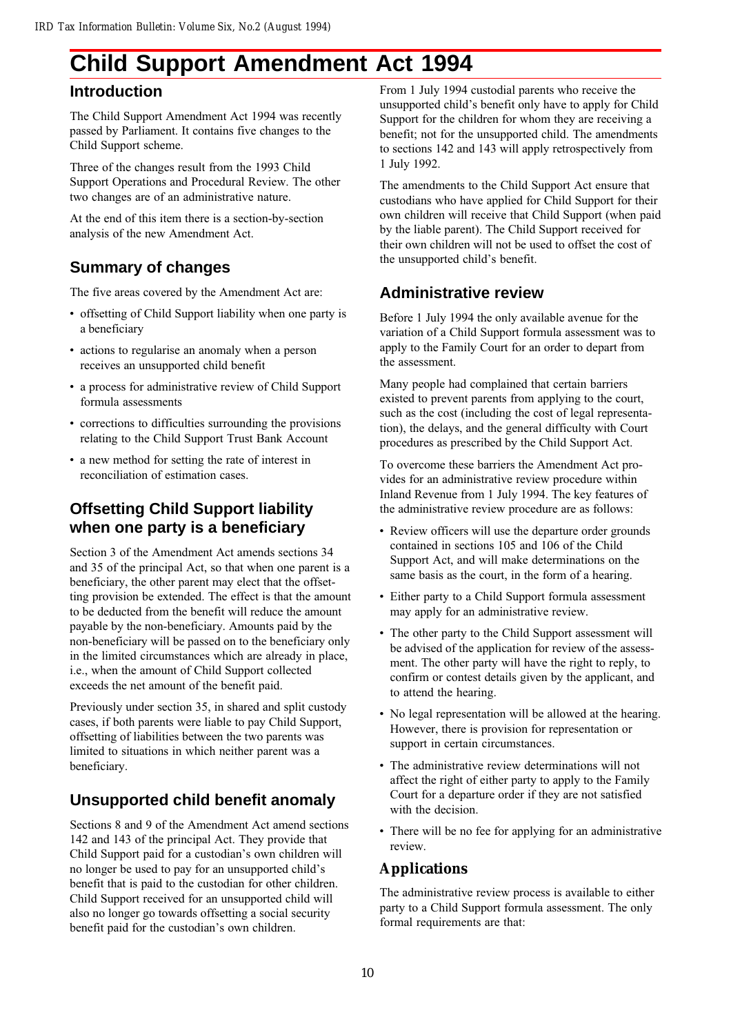# **Child Support Amendment Act 1994**

## **Introduction**

The Child Support Amendment Act 1994 was recently passed by Parliament. It contains five changes to the Child Support scheme.

Three of the changes result from the 1993 Child Support Operations and Procedural Review. The other two changes are of an administrative nature.

At the end of this item there is a section-by-section analysis of the new Amendment Act.

## **Summary of changes**

The five areas covered by the Amendment Act are:

- offsetting of Child Support liability when one party is a beneficiary
- actions to regularise an anomaly when a person receives an unsupported child benefit
- a process for administrative review of Child Support formula assessments
- corrections to difficulties surrounding the provisions relating to the Child Support Trust Bank Account
- a new method for setting the rate of interest in reconciliation of estimation cases.

## **Offsetting Child Support liability when one party is a beneficiary**

Section 3 of the Amendment Act amends sections 34 and 35 of the principal Act, so that when one parent is a beneficiary, the other parent may elect that the offsetting provision be extended. The effect is that the amount to be deducted from the benefit will reduce the amount payable by the non-beneficiary. Amounts paid by the non-beneficiary will be passed on to the beneficiary only in the limited circumstances which are already in place, i.e., when the amount of Child Support collected exceeds the net amount of the benefit paid.

Previously under section 35, in shared and split custody cases, if both parents were liable to pay Child Support, offsetting of liabilities between the two parents was limited to situations in which neither parent was a beneficiary.

## **Unsupported child benefit anomaly**

Sections 8 and 9 of the Amendment Act amend sections 142 and 143 of the principal Act. They provide that Child Support paid for a custodian's own children will no longer be used to pay for an unsupported child's benefit that is paid to the custodian for other children. Child Support received for an unsupported child will also no longer go towards offsetting a social security benefit paid for the custodian's own children.

From 1 July 1994 custodial parents who receive the unsupported child's benefit only have to apply for Child Support for the children for whom they are receiving a benefit; not for the unsupported child. The amendments to sections 142 and 143 will apply retrospectively from 1 July 1992.

The amendments to the Child Support Act ensure that custodians who have applied for Child Support for their own children will receive that Child Support (when paid by the liable parent). The Child Support received for their own children will not be used to offset the cost of the unsupported child's benefit.

## **Administrative review**

Before 1 July 1994 the only available avenue for the variation of a Child Support formula assessment was to apply to the Family Court for an order to depart from the assessment.

Many people had complained that certain barriers existed to prevent parents from applying to the court, such as the cost (including the cost of legal representation), the delays, and the general difficulty with Court procedures as prescribed by the Child Support Act.

To overcome these barriers the Amendment Act provides for an administrative review procedure within Inland Revenue from 1 July 1994. The key features of the administrative review procedure are as follows:

- Review officers will use the departure order grounds contained in sections 105 and 106 of the Child Support Act, and will make determinations on the same basis as the court, in the form of a hearing.
- Either party to a Child Support formula assessment may apply for an administrative review.
- The other party to the Child Support assessment will be advised of the application for review of the assessment. The other party will have the right to reply, to confirm or contest details given by the applicant, and to attend the hearing.
- No legal representation will be allowed at the hearing. However, there is provision for representation or support in certain circumstances.
- The administrative review determinations will not affect the right of either party to apply to the Family Court for a departure order if they are not satisfied with the decision.
- There will be no fee for applying for an administrative review.

## **Applications**

The administrative review process is available to either party to a Child Support formula assessment. The only formal requirements are that: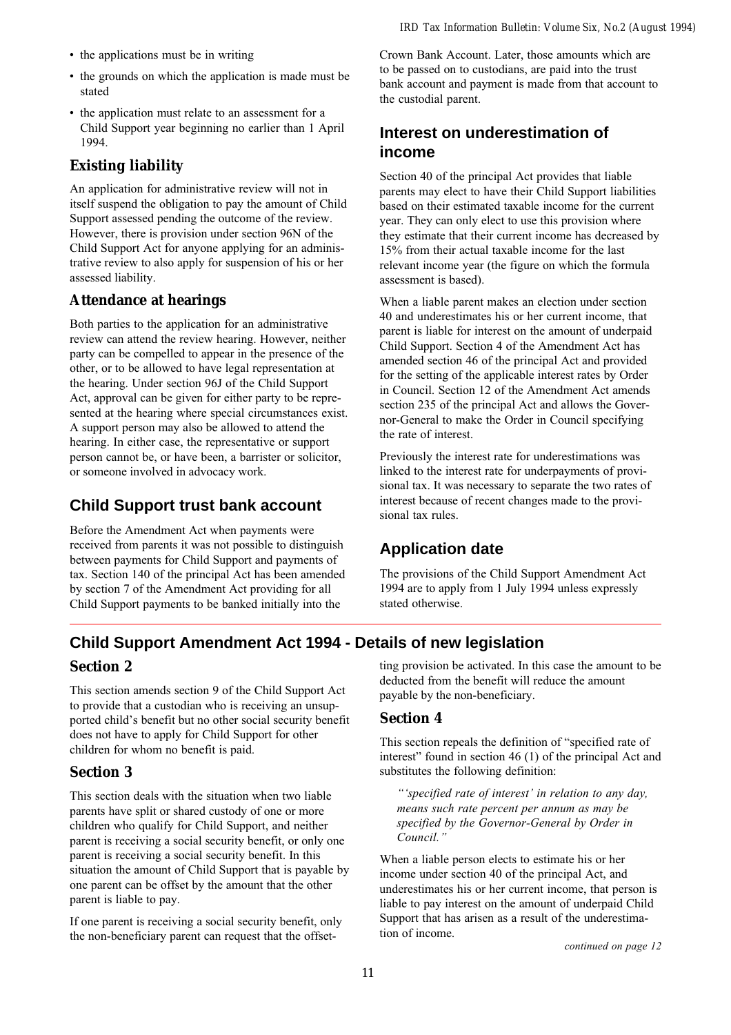- the applications must be in writing
- the grounds on which the application is made must be stated
- the application must relate to an assessment for a Child Support year beginning no earlier than 1 April 1994.

## **Existing liability**

An application for administrative review will not in itself suspend the obligation to pay the amount of Child Support assessed pending the outcome of the review. However, there is provision under section 96N of the Child Support Act for anyone applying for an administrative review to also apply for suspension of his or her assessed liability.

## **Attendance at hearings**

Both parties to the application for an administrative review can attend the review hearing. However, neither party can be compelled to appear in the presence of the other, or to be allowed to have legal representation at the hearing. Under section 96J of the Child Support Act, approval can be given for either party to be represented at the hearing where special circumstances exist. A support person may also be allowed to attend the hearing. In either case, the representative or support person cannot be, or have been, a barrister or solicitor, or someone involved in advocacy work.

## **Child Support trust bank account**

Before the Amendment Act when payments were received from parents it was not possible to distinguish between payments for Child Support and payments of tax. Section 140 of the principal Act has been amended by section 7 of the Amendment Act providing for all Child Support payments to be banked initially into the

Crown Bank Account. Later, those amounts which are to be passed on to custodians, are paid into the trust bank account and payment is made from that account to the custodial parent.

## **Interest on underestimation of income**

Section 40 of the principal Act provides that liable parents may elect to have their Child Support liabilities based on their estimated taxable income for the current year. They can only elect to use this provision where they estimate that their current income has decreased by 15% from their actual taxable income for the last relevant income year (the figure on which the formula assessment is based).

When a liable parent makes an election under section 40 and underestimates his or her current income, that parent is liable for interest on the amount of underpaid Child Support. Section 4 of the Amendment Act has amended section 46 of the principal Act and provided for the setting of the applicable interest rates by Order in Council. Section 12 of the Amendment Act amends section 235 of the principal Act and allows the Governor-General to make the Order in Council specifying the rate of interest.

Previously the interest rate for underestimations was linked to the interest rate for underpayments of provisional tax. It was necessary to separate the two rates of interest because of recent changes made to the provisional tax rules.

## **Application date**

The provisions of the Child Support Amendment Act 1994 are to apply from 1 July 1994 unless expressly stated otherwise.

## **Child Support Amendment Act 1994 - Details of new legislation**

## **Section 2**

This section amends section 9 of the Child Support Act to provide that a custodian who is receiving an unsupported child's benefit but no other social security benefit does not have to apply for Child Support for other children for whom no benefit is paid.

## **Section 3**

This section deals with the situation when two liable parents have split or shared custody of one or more children who qualify for Child Support, and neither parent is receiving a social security benefit, or only one parent is receiving a social security benefit. In this situation the amount of Child Support that is payable by one parent can be offset by the amount that the other parent is liable to pay.

If one parent is receiving a social security benefit, only the non-beneficiary parent can request that the offset-

ting provision be activated. In this case the amount to be deducted from the benefit will reduce the amount payable by the non-beneficiary.

## **Section 4**

This section repeals the definition of "specified rate of interest" found in section  $46$  (1) of the principal Act and substitutes the following definition:

"'specified rate of interest' in relation to any day, means such rate percent per annum as may be specified by the Governor-General by Order in Council."

When a liable person elects to estimate his or her income under section 40 of the principal Act, and underestimates his or her current income, that person is liable to pay interest on the amount of underpaid Child Support that has arisen as a result of the underestimation of income.

continued on page 12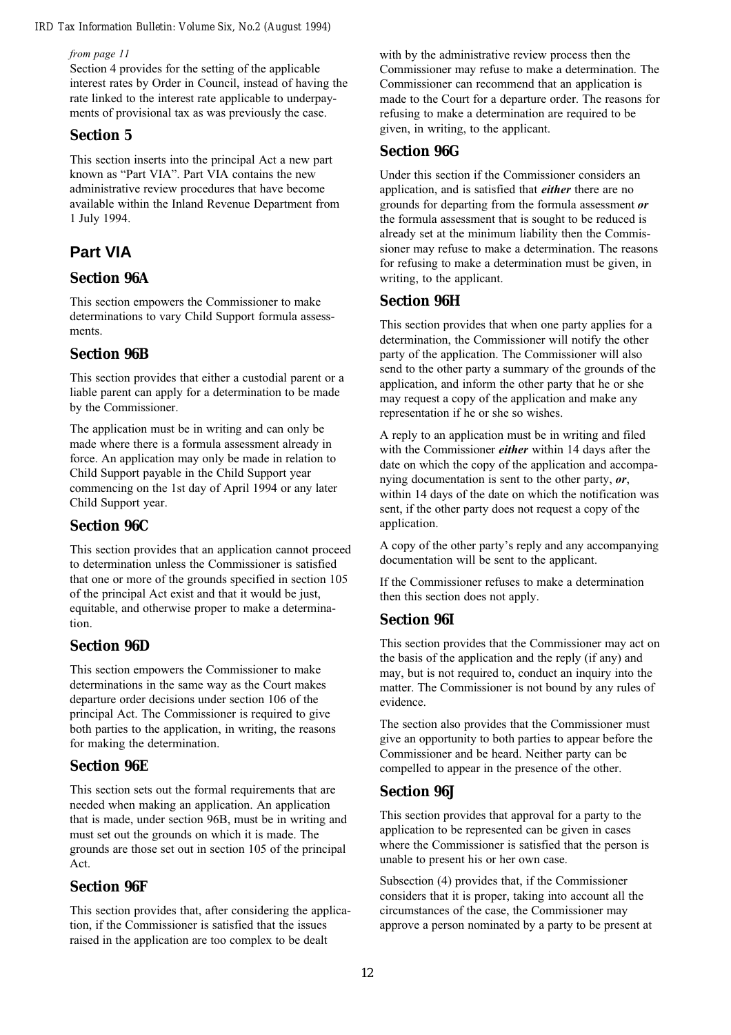from page 11

Section 4 provides for the setting of the applicable interest rates by Order in Council, instead of having the rate linked to the interest rate applicable to underpayments of provisional tax as was previously the case.

### **Section 5**

This section inserts into the principal Act a new part known as "Part VIA". Part VIA contains the new administrative review procedures that have become available within the Inland Revenue Department from 1 July 1994.

## **Part VIA**

### **Section 96A**

This section empowers the Commissioner to make determinations to vary Child Support formula assessments.

### **Section 96B**

This section provides that either a custodial parent or a liable parent can apply for a determination to be made by the Commissioner.

The application must be in writing and can only be made where there is a formula assessment already in force. An application may only be made in relation to Child Support payable in the Child Support year commencing on the 1st day of April 1994 or any later Child Support year.

### **Section 96C**

This section provides that an application cannot proceed to determination unless the Commissioner is satisfied that one or more of the grounds specified in section 105 of the principal Act exist and that it would be just, equitable, and otherwise proper to make a determination.

### **Section 96D**

This section empowers the Commissioner to make determinations in the same way as the Court makes departure order decisions under section 106 of the principal Act. The Commissioner is required to give both parties to the application, in writing, the reasons for making the determination.

### **Section 96E**

This section sets out the formal requirements that are needed when making an application. An application that is made, under section 96B, must be in writing and must set out the grounds on which it is made. The grounds are those set out in section 105 of the principal Act.

#### **Section 96F**

This section provides that, after considering the application, if the Commissioner is satisfied that the issues raised in the application are too complex to be dealt

with by the administrative review process then the Commissioner may refuse to make a determination. The Commissioner can recommend that an application is made to the Court for a departure order. The reasons for refusing to make a determination are required to be given, in writing, to the applicant.

#### **Section 96G**

Under this section if the Commissioner considers an application, and is satisfied that *either* there are no grounds for departing from the formula assessment or the formula assessment that is sought to be reduced is already set at the minimum liability then the Commissioner may refuse to make a determination. The reasons for refusing to make a determination must be given, in writing, to the applicant.

#### **Section 96H**

This section provides that when one party applies for a determination, the Commissioner will notify the other party of the application. The Commissioner will also send to the other party a summary of the grounds of the application, and inform the other party that he or she may request a copy of the application and make any representation if he or she so wishes.

A reply to an application must be in writing and filed with the Commissioner *either* within 14 days after the date on which the copy of the application and accompanying documentation is sent to the other party,  $\rho r$ , within 14 days of the date on which the notification was sent, if the other party does not request a copy of the application.

A copy of the other party's reply and any accompanying documentation will be sent to the applicant.

If the Commissioner refuses to make a determination then this section does not apply.

#### **Section 96I**

This section provides that the Commissioner may act on the basis of the application and the reply (if any) and may, but is not required to, conduct an inquiry into the matter. The Commissioner is not bound by any rules of evidence.

The section also provides that the Commissioner must give an opportunity to both parties to appear before the Commissioner and be heard. Neither party can be compelled to appear in the presence of the other.

#### **Section 96J**

This section provides that approval for a party to the application to be represented can be given in cases where the Commissioner is satisfied that the person is unable to present his or her own case.

Subsection (4) provides that, if the Commissioner considers that it is proper, taking into account all the circumstances of the case, the Commissioner may approve a person nominated by a party to be present at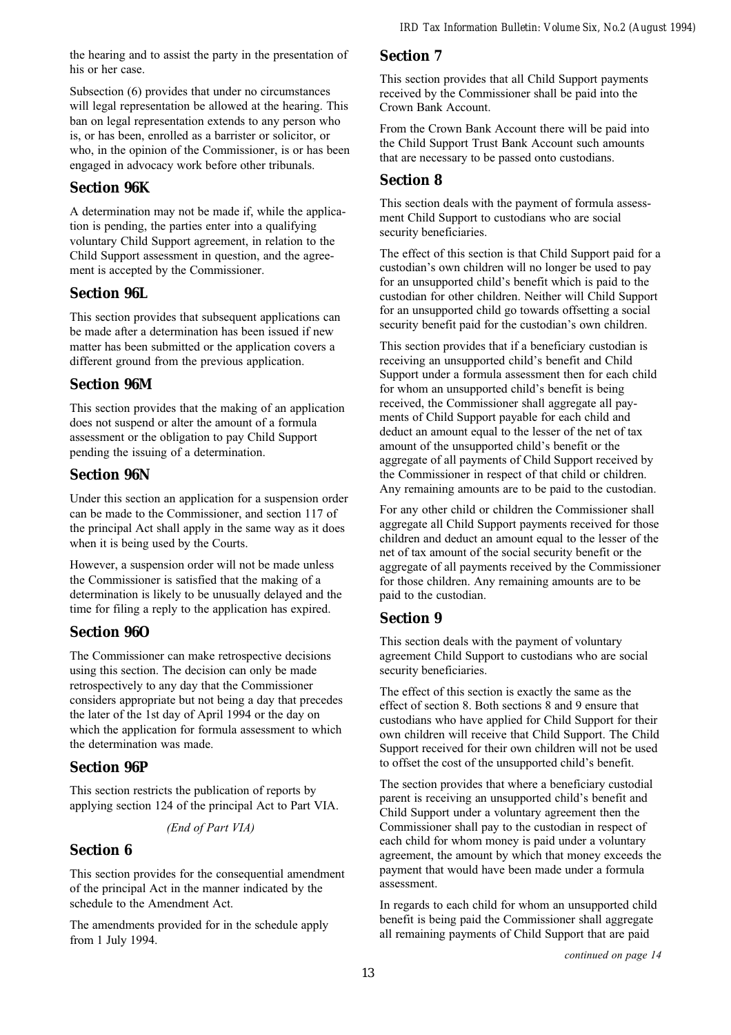the hearing and to assist the party in the presentation of his or her case.

Subsection (6) provides that under no circumstances will legal representation be allowed at the hearing. This ban on legal representation extends to any person who is, or has been, enrolled as a barrister or solicitor, or who, in the opinion of the Commissioner, is or has been engaged in advocacy work before other tribunals.

## **Section 96K**

A determination may not be made if, while the application is pending, the parties enter into a qualifying voluntary Child Support agreement, in relation to the Child Support assessment in question, and the agreement is accepted by the Commissioner.

## **Section 96L**

This section provides that subsequent applications can be made after a determination has been issued if new matter has been submitted or the application covers a different ground from the previous application.

### **Section 96M**

This section provides that the making of an application does not suspend or alter the amount of a formula assessment or the obligation to pay Child Support pending the issuing of a determination.

## **Section 96N**

Under this section an application for a suspension order can be made to the Commissioner, and section 117 of the principal Act shall apply in the same way as it does when it is being used by the Courts.

However, a suspension order will not be made unless the Commissioner is satisfied that the making of a determination is likely to be unusually delayed and the time for filing a reply to the application has expired.

## **Section 96O**

The Commissioner can make retrospective decisions using this section. The decision can only be made retrospectively to any day that the Commissioner considers appropriate but not being a day that precedes the later of the 1st day of April 1994 or the day on which the application for formula assessment to which the determination was made.

## **Section 96P**

This section restricts the publication of reports by applying section 124 of the principal Act to Part VIA.

#### (End of Part VIA)

### **Section 6**

This section provides for the consequential amendment of the principal Act in the manner indicated by the schedule to the Amendment Act.

The amendments provided for in the schedule apply from 1 July 1994.

### **Section 7**

This section provides that all Child Support payments received by the Commissioner shall be paid into the Crown Bank Account.

From the Crown Bank Account there will be paid into the Child Support Trust Bank Account such amounts that are necessary to be passed onto custodians.

### **Section 8**

This section deals with the payment of formula assessment Child Support to custodians who are social security beneficiaries.

The effect of this section is that Child Support paid for a custodian's own children will no longer be used to pay for an unsupported child's benefit which is paid to the custodian for other children. Neither will Child Support for an unsupported child go towards offsetting a social security benefit paid for the custodian's own children.

This section provides that if a beneficiary custodian is receiving an unsupported child's benefit and Child Support under a formula assessment then for each child for whom an unsupported child's benefit is being received, the Commissioner shall aggregate all payments of Child Support payable for each child and deduct an amount equal to the lesser of the net of tax amount of the unsupported child's benefit or the aggregate of all payments of Child Support received by the Commissioner in respect of that child or children. Any remaining amounts are to be paid to the custodian.

For any other child or children the Commissioner shall aggregate all Child Support payments received for those children and deduct an amount equal to the lesser of the net of tax amount of the social security benefit or the aggregate of all payments received by the Commissioner for those children. Any remaining amounts are to be paid to the custodian.

### **Section 9**

This section deals with the payment of voluntary agreement Child Support to custodians who are social security beneficiaries.

The effect of this section is exactly the same as the effect of section 8. Both sections 8 and 9 ensure that custodians who have applied for Child Support for their own children will receive that Child Support. The Child Support received for their own children will not be used to offset the cost of the unsupported child's benefit.

The section provides that where a beneficiary custodial parent is receiving an unsupported child's benefit and Child Support under a voluntary agreement then the Commissioner shall pay to the custodian in respect of each child for whom money is paid under a voluntary agreement, the amount by which that money exceeds the payment that would have been made under a formula assessment.

In regards to each child for whom an unsupported child benefit is being paid the Commissioner shall aggregate all remaining payments of Child Support that are paid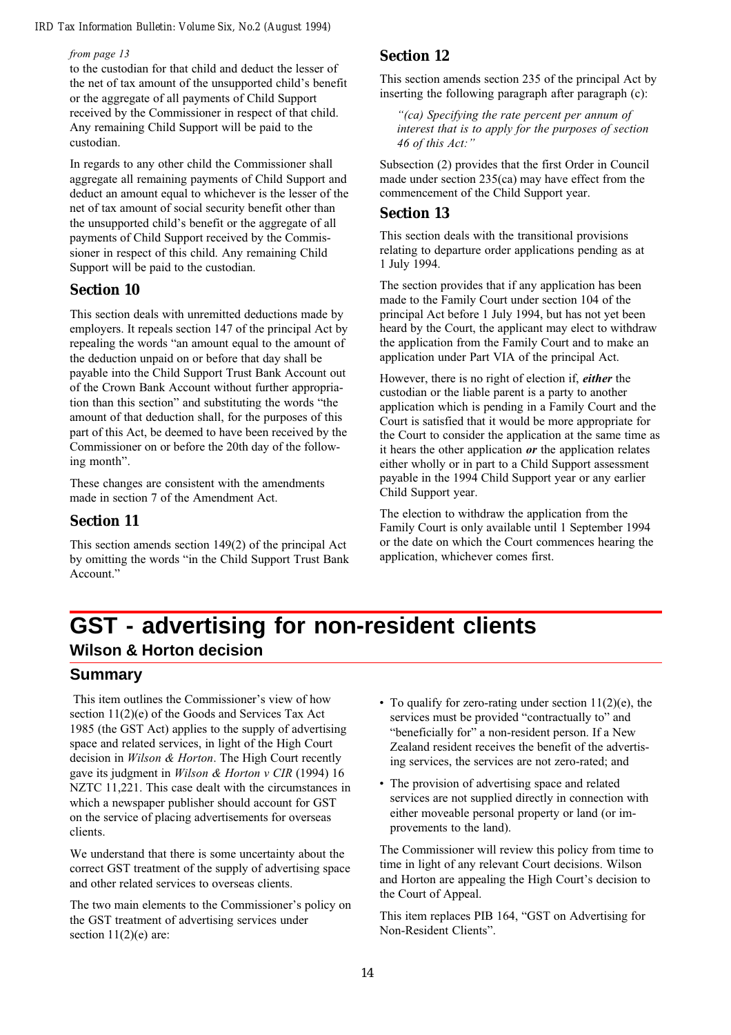#### from page 13

to the custodian for that child and deduct the lesser of the net of tax amount of the unsupported child's benefit or the aggregate of all payments of Child Support received by the Commissioner in respect of that child. Any remaining Child Support will be paid to the custodian.

In regards to any other child the Commissioner shall aggregate all remaining payments of Child Support and deduct an amount equal to whichever is the lesser of the net of tax amount of social security benefit other than the unsupported child's benefit or the aggregate of all payments of Child Support received by the Commissioner in respect of this child. Any remaining Child Support will be paid to the custodian.

#### **Section 10**

This section deals with unremitted deductions made by employers. It repeals section 147 of the principal Act by repealing the words "an amount equal to the amount of the deduction unpaid on or before that day shall be payable into the Child Support Trust Bank Account out of the Crown Bank Account without further appropriation than this section" and substituting the words "the amount of that deduction shall, for the purposes of this part of this Act, be deemed to have been received by the Commissioner on or before the 20th day of the following month".

These changes are consistent with the amendments made in section 7 of the Amendment Act.

#### **Section 11**

This section amends section 149(2) of the principal Act by omitting the words "in the Child Support Trust Bank" Account."

### **Section 12**

This section amends section 235 of the principal Act by inserting the following paragraph after paragraph (c):

"(ca) Specifying the rate percent per annum of interest that is to apply for the purposes of section 46 of this Act:"

Subsection (2) provides that the first Order in Council made under section 235(ca) may have effect from the commencement of the Child Support year.

#### **Section 13**

This section deals with the transitional provisions relating to departure order applications pending as at 1 July 1994.

The section provides that if any application has been made to the Family Court under section 104 of the principal Act before 1 July 1994, but has not yet been heard by the Court, the applicant may elect to withdraw the application from the Family Court and to make an application under Part VIA of the principal Act.

However, there is no right of election if, either the custodian or the liable parent is a party to another application which is pending in a Family Court and the Court is satisfied that it would be more appropriate for the Court to consider the application at the same time as it hears the other application  $\rho r$  the application relates either wholly or in part to a Child Support assessment payable in the 1994 Child Support year or any earlier Child Support year.

The election to withdraw the application from the Family Court is only available until 1 September 1994 or the date on which the Court commences hearing the application, whichever comes first.

## **GST - advertising for non-resident clients Wilson & Horton decision**

### **Summary**

This item outlines the Commissioner's view of how section 11(2)(e) of the Goods and Services Tax Act 1985 (the GST Act) applies to the supply of advertising space and related services, in light of the High Court decision in Wilson & Horton. The High Court recently gave its judgment in Wilson & Horton v CIR (1994) 16 NZTC 11,221. This case dealt with the circumstances in which a newspaper publisher should account for GST on the service of placing advertisements for overseas clients.

We understand that there is some uncertainty about the correct GST treatment of the supply of advertising space and other related services to overseas clients.

The two main elements to the Commissioner's policy on the GST treatment of advertising services under section  $11(2)(e)$  are:

- To qualify for zero-rating under section  $11(2)(e)$ , the services must be provided "contractually to" and "beneficially for" a non-resident person. If a New Zealand resident receives the benefit of the advertising services, the services are not zero-rated; and
- The provision of advertising space and related services are not supplied directly in connection with either moveable personal property or land (or improvements to the land).

The Commissioner will review this policy from time to time in light of any relevant Court decisions. Wilson and Horton are appealing the High Court's decision to the Court of Appeal.

This item replaces PIB 164, "GST on Advertising for Non-Resident Clients".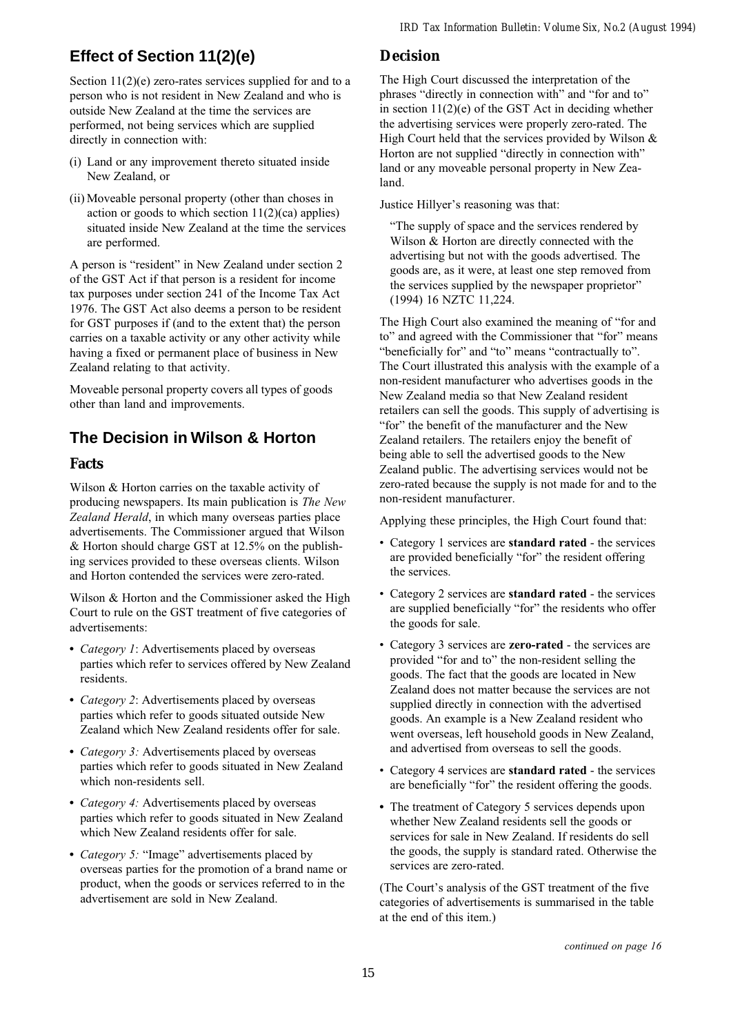## **Effect of Section 11(2)(e)**

Section  $11(2)(e)$  zero-rates services supplied for and to a person who is not resident in New Zealand and who is outside New Zealand at the time the services are performed, not being services which are supplied directly in connection with:

- (i) Land or any improvement thereto situated inside New Zealand, or
- (ii) Moveable personal property (other than choses in action or goods to which section  $11(2)(ca)$  applies) situated inside New Zealand at the time the services are performed.

A person is "resident" in New Zealand under section 2 of the GST Act if that person is a resident for income tax purposes under section 241 of the Income Tax Act 1976. The GST Act also deems a person to be resident for GST purposes if (and to the extent that) the person carries on a taxable activity or any other activity while having a fixed or permanent place of business in New Zealand relating to that activity.

Moveable personal property covers all types of goods other than land and improvements.

## **The Decision in Wilson & Horton**

#### **Facts**

Wilson & Horton carries on the taxable activity of producing newspapers. Its main publication is The New Zealand Herald, in which many overseas parties place advertisements. The Commissioner argued that Wilson & Horton should charge GST at 12.5% on the publishing services provided to these overseas clients. Wilson and Horton contended the services were zero-rated.

Wilson & Horton and the Commissioner asked the High Court to rule on the GST treatment of five categories of advertisements:

- Category 1: Advertisements placed by overseas parties which refer to services offered by New Zealand residents.
- *Category 2*: Advertisements placed by overseas parties which refer to goods situated outside New Zealand which New Zealand residents offer for sale.
- *Category 3:* Advertisements placed by overseas parties which refer to goods situated in New Zealand which non-residents sell.
- *Category 4:* Advertisements placed by overseas parties which refer to goods situated in New Zealand which New Zealand residents offer for sale.
- Category 5: "Image" advertisements placed by overseas parties for the promotion of a brand name or product, when the goods or services referred to in the advertisement are sold in New Zealand.

## **Decision**

The High Court discussed the interpretation of the phrases "directly in connection with" and "for and to" in section 11(2)(e) of the GST Act in deciding whether the advertising services were properly zero-rated. The High Court held that the services provided by Wilson  $\&$ Horton are not supplied "directly in connection with" land or any moveable personal property in New Zealand.

Justice Hillyer's reasoning was that:

The supply of space and the services rendered by Wilson & Horton are directly connected with the advertising but not with the goods advertised. The goods are, as it were, at least one step removed from the services supplied by the newspaper proprietor (1994) 16 NZTC 11,224.

The High Court also examined the meaning of "for and to" and agreed with the Commissioner that "for" means "beneficially for" and "to" means "contractually to". The Court illustrated this analysis with the example of a non-resident manufacturer who advertises goods in the New Zealand media so that New Zealand resident retailers can sell the goods. This supply of advertising is "for" the benefit of the manufacturer and the New Zealand retailers. The retailers enjoy the benefit of being able to sell the advertised goods to the New Zealand public. The advertising services would not be zero-rated because the supply is not made for and to the non-resident manufacturer.

Applying these principles, the High Court found that:

- Category 1 services are standard rated the services are provided beneficially "for" the resident offering the services.
- Category 2 services are **standard rated** the services are supplied beneficially "for" the residents who offer the goods for sale.
- Category 3 services are **zero-rated** the services are provided "for and to" the non-resident selling the goods. The fact that the goods are located in New Zealand does not matter because the services are not supplied directly in connection with the advertised goods. An example is a New Zealand resident who went overseas, left household goods in New Zealand, and advertised from overseas to sell the goods.
- Category 4 services are standard rated the services are beneficially "for" the resident offering the goods.
- The treatment of Category 5 services depends upon whether New Zealand residents sell the goods or services for sale in New Zealand. If residents do sell the goods, the supply is standard rated. Otherwise the services are zero-rated.

(The Court's analysis of the GST treatment of the five categories of advertisements is summarised in the table at the end of this item.)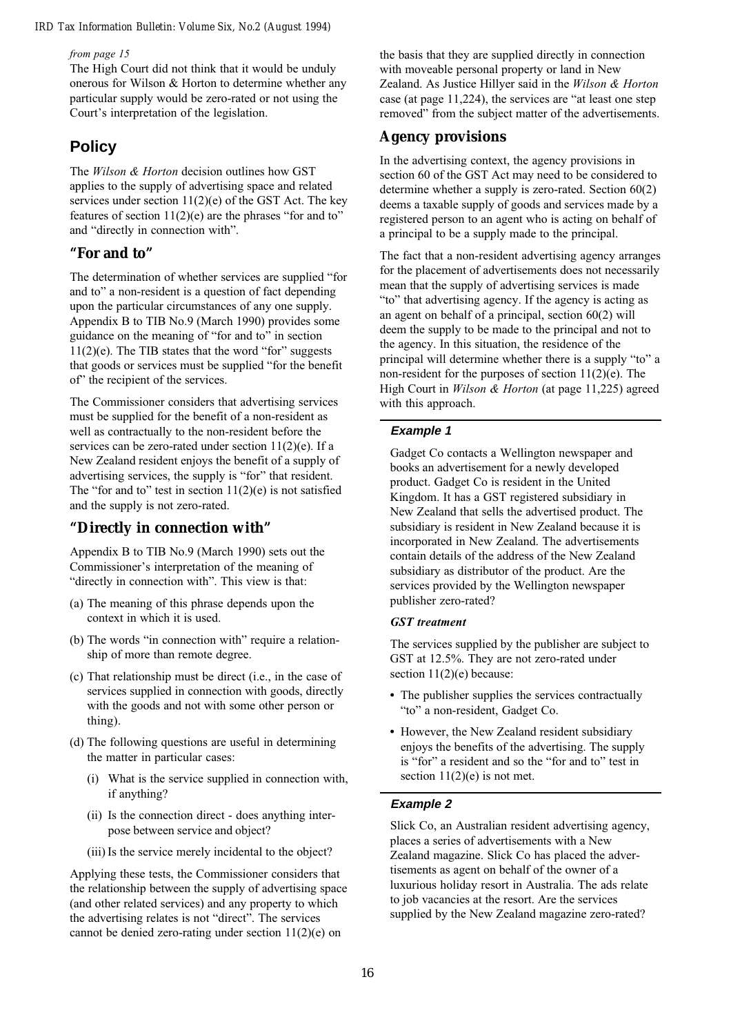from page 15

The High Court did not think that it would be unduly onerous for Wilson & Horton to determine whether any particular supply would be zero-rated or not using the Court's interpretation of the legislation.

### **Policy**

The *Wilson & Horton* decision outlines how GST applies to the supply of advertising space and related services under section  $11(2)(e)$  of the GST Act. The key features of section  $11(2)(e)$  are the phrases "for and to" and "directly in connection with".

#### **"For and to"**

The determination of whether services are supplied "for and to" a non-resident is a question of fact depending upon the particular circumstances of any one supply. Appendix B to TIB No.9 (March 1990) provides some guidance on the meaning of "for and to" in section  $11(2)(e)$ . The TIB states that the word "for" suggests that goods or services must be supplied "for the benefit of" the recipient of the services.

The Commissioner considers that advertising services must be supplied for the benefit of a non-resident as well as contractually to the non-resident before the services can be zero-rated under section 11(2)(e). If a New Zealand resident enjoys the benefit of a supply of advertising services, the supply is "for" that resident. The "for and to" test in section  $11(2)(e)$  is not satisfied and the supply is not zero-rated.

#### **"Directly in connection with"**

Appendix B to TIB No.9 (March 1990) sets out the Commissioner's interpretation of the meaning of "directly in connection with". This view is that:

- (a) The meaning of this phrase depends upon the context in which it is used.
- (b) The words "in connection with" require a relationship of more than remote degree.
- (c) That relationship must be direct (i.e., in the case of services supplied in connection with goods, directly with the goods and not with some other person or thing).
- (d) The following questions are useful in determining the matter in particular cases:
	- (i) What is the service supplied in connection with, if anything?
	- (ii) Is the connection direct does anything interpose between service and object?
	- (iii) Is the service merely incidental to the object?

Applying these tests, the Commissioner considers that the relationship between the supply of advertising space (and other related services) and any property to which the advertising relates is not "direct". The services cannot be denied zero-rating under section 11(2)(e) on

the basis that they are supplied directly in connection with moveable personal property or land in New Zealand. As Justice Hillyer said in the Wilson & Horton case (at page  $11,224$ ), the services are "at least one step removed" from the subject matter of the advertisements.

#### **Agency provisions**

In the advertising context, the agency provisions in section 60 of the GST Act may need to be considered to determine whether a supply is zero-rated. Section 60(2) deems a taxable supply of goods and services made by a registered person to an agent who is acting on behalf of a principal to be a supply made to the principal.

The fact that a non-resident advertising agency arranges for the placement of advertisements does not necessarily mean that the supply of advertising services is made "to" that advertising agency. If the agency is acting as an agent on behalf of a principal, section 60(2) will deem the supply to be made to the principal and not to the agency. In this situation, the residence of the principal will determine whether there is a supply "to" a non-resident for the purposes of section  $11(2)(e)$ . The High Court in Wilson & Horton (at page 11,225) agreed with this approach.

#### **Example 1**

Gadget Co contacts a Wellington newspaper and books an advertisement for a newly developed product. Gadget Co is resident in the United Kingdom. It has a GST registered subsidiary in New Zealand that sells the advertised product. The subsidiary is resident in New Zealand because it is incorporated in New Zealand. The advertisements contain details of the address of the New Zealand subsidiary as distributor of the product. Are the services provided by the Wellington newspaper publisher zero-rated?

#### GST treatment

The services supplied by the publisher are subject to GST at 12.5%. They are not zero-rated under section  $11(2)(e)$  because:

- The publisher supplies the services contractually "to" a non-resident, Gadget Co.
- However, the New Zealand resident subsidiary enjoys the benefits of the advertising. The supply is "for" a resident and so the "for and to" test in section  $11(2)(e)$  is not met.

#### **Example 2**

Slick Co, an Australian resident advertising agency, places a series of advertisements with a New Zealand magazine. Slick Co has placed the advertisements as agent on behalf of the owner of a luxurious holiday resort in Australia. The ads relate to job vacancies at the resort. Are the services supplied by the New Zealand magazine zero-rated?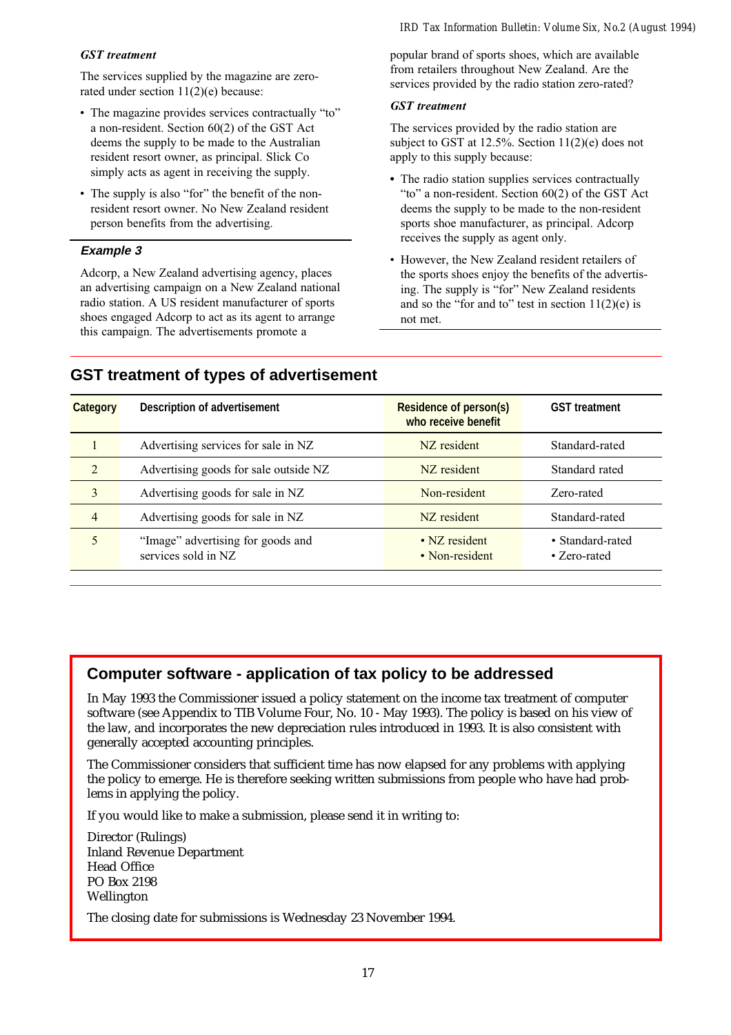#### GST treatment

The services supplied by the magazine are zerorated under section 11(2)(e) because:

- The magazine provides services contractually "to" a non-resident. Section 60(2) of the GST Act deems the supply to be made to the Australian resident resort owner, as principal. Slick Co simply acts as agent in receiving the supply.
- The supply is also "for" the benefit of the nonresident resort owner. No New Zealand resident person benefits from the advertising.

#### **Example 3**

Adcorp, a New Zealand advertising agency, places an advertising campaign on a New Zealand national radio station. A US resident manufacturer of sports shoes engaged Adcorp to act as its agent to arrange this campaign. The advertisements promote a

popular brand of sports shoes, which are available from retailers throughout New Zealand. Are the services provided by the radio station zero-rated?

#### GST treatment

The services provided by the radio station are subject to GST at 12.5%. Section 11(2)(e) does not apply to this supply because:

- The radio station supplies services contractually "to" a non-resident. Section  $60(2)$  of the GST Act deems the supply to be made to the non-resident sports shoe manufacturer, as principal. Adcorp receives the supply as agent only.
- However, the New Zealand resident retailers of the sports shoes enjoy the benefits of the advertising. The supply is "for" New Zealand residents and so the "for and to" test in section  $11(2)(e)$  is not met.

| Category       | Description of advertisement                             | <b>Residence of person(s)</b><br>who receive benefit | <b>GST</b> treatment             |
|----------------|----------------------------------------------------------|------------------------------------------------------|----------------------------------|
|                | Advertising services for sale in NZ                      | NZ resident                                          | Standard-rated                   |
| $\overline{2}$ | Advertising goods for sale outside NZ                    | NZ resident                                          | Standard rated                   |
| 3              | Advertising goods for sale in NZ                         | Non-resident                                         | Zero-rated                       |
| $\overline{4}$ | Advertising goods for sale in NZ                         | NZ resident                                          | Standard-rated                   |
|                | "Image" advertising for goods and<br>services sold in NZ | • NZ resident<br>• Non-resident                      | • Standard-rated<br>• Zero-rated |

## **GST treatment of types of advertisement**

## **Computer software - application of tax policy to be addressed**

In May 1993 the Commissioner issued a policy statement on the income tax treatment of computer software (see Appendix to TIB Volume Four, No. 10 - May 1993). The policy is based on his view of the law, and incorporates the new depreciation rules introduced in 1993. It is also consistent with generally accepted accounting principles.

The Commissioner considers that sufficient time has now elapsed for any problems with applying the policy to emerge. He is therefore seeking written submissions from people who have had problems in applying the policy.

If you would like to make a submission, please send it in writing to:

Director (Rulings) Inland Revenue Department Head Office PO Box 2198 Wellington

The closing date for submissions is Wednesday 23 November 1994.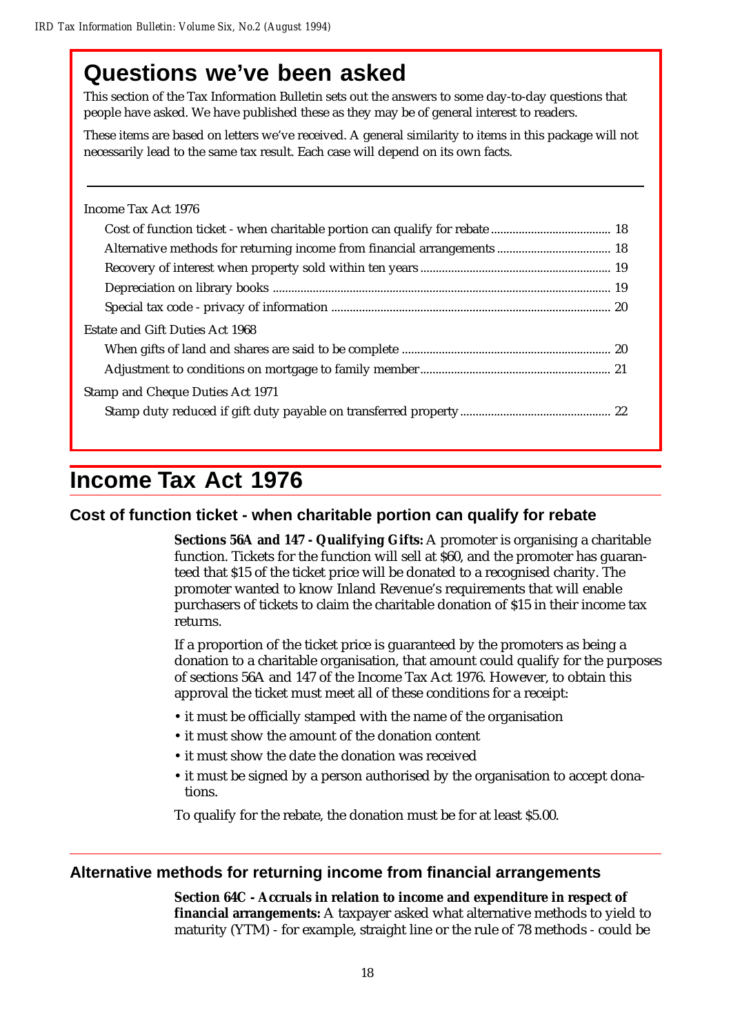## **Questions we've been asked**

This section of the Tax Information Bulletin sets out the answers to some day-to-day questions that people have asked. We have published these as they may be of general interest to readers.

These items are based on letters we've received. A general similarity to items in this package will not necessarily lead to the same tax result. Each case will depend on its own facts.

| Income Tax Act 1976              |
|----------------------------------|
|                                  |
|                                  |
|                                  |
|                                  |
|                                  |
| Estate and Gift Duties Act 1968  |
|                                  |
|                                  |
| Stamp and Cheque Duties Act 1971 |
|                                  |

## **Income Tax Act 1976**

## **Cost of function ticket - when charitable portion can qualify for rebate**

**Sections 56A and 147 - Qualifying Gifts:** A promoter is organising a charitable function. Tickets for the function will sell at \$60, and the promoter has guaranteed that \$15 of the ticket price will be donated to a recognised charity. The promoter wanted to know Inland Revenue's requirements that will enable purchasers of tickets to claim the charitable donation of \$15 in their income tax returns.

If a proportion of the ticket price is guaranteed by the promoters as being a donation to a charitable organisation, that amount could qualify for the purposes of sections 56A and 147 of the Income Tax Act 1976. However, to obtain this approval the ticket must meet all of these conditions for a receipt:

- it must be officially stamped with the name of the organisation
- it must show the amount of the donation content
- it must show the date the donation was received
- it must be signed by a person authorised by the organisation to accept donations.

To qualify for the rebate, the donation must be for at least \$5.00.

## **Alternative methods for returning income from financial arrangements**

**Section 64C - Accruals in relation to income and expenditure in respect of financial arrangements:** A taxpayer asked what alternative methods to yield to maturity (YTM) - for example, straight line or the rule of 78 methods - could be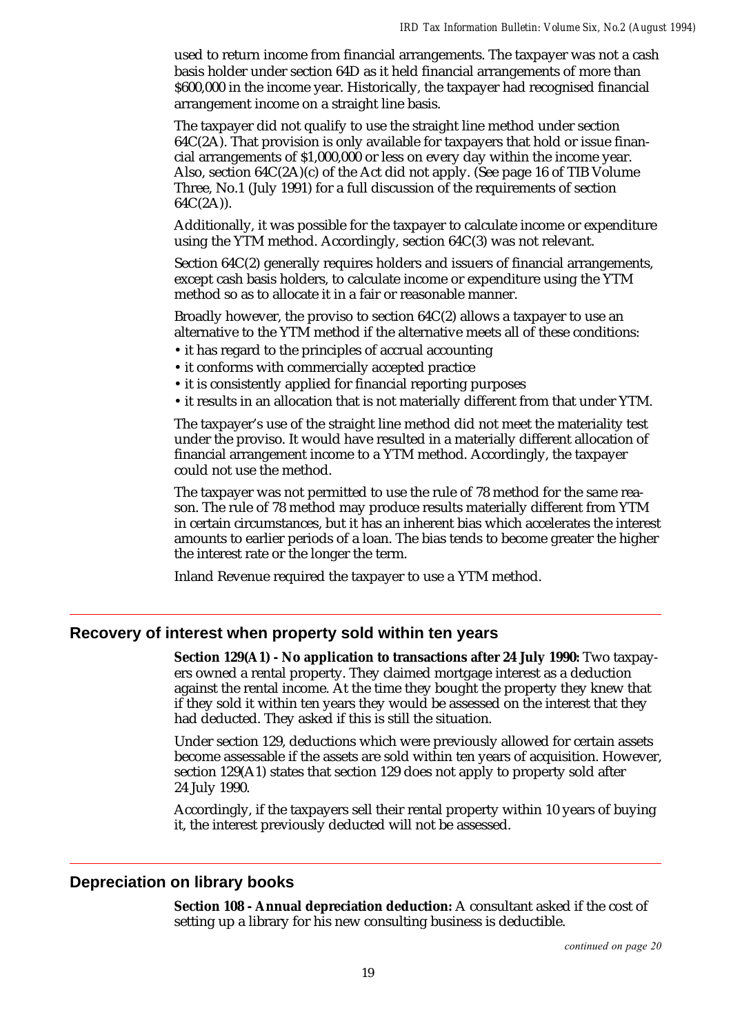used to return income from financial arrangements. The taxpayer was not a cash basis holder under section 64D as it held financial arrangements of more than \$600,000 in the income year. Historically, the taxpayer had recognised financial arrangement income on a straight line basis.

The taxpayer did not qualify to use the straight line method under section  $64C(2)$ . That provision is only available for taxpayers that hold or issue financial arrangements of \$1,000,000 or less on every day within the income year. Also, section 64C(2A)(c) of the Act did not apply. (See page 16 of TIB Volume Three, No.1 (July 1991) for a full discussion of the requirements of section 64C(2A)).

Additionally, it was possible for the taxpayer to calculate income or expenditure using the YTM method. Accordingly, section 64C(3) was not relevant.

Section 64C(2) generally requires holders and issuers of financial arrangements, except cash basis holders, to calculate income or expenditure using the YTM method so as to allocate it in a fair or reasonable manner.

Broadly however, the proviso to section 64C(2) allows a taxpayer to use an alternative to the YTM method if the alternative meets all of these conditions:

- it has regard to the principles of accrual accounting
- it conforms with commercially accepted practice
- it is consistently applied for financial reporting purposes
- it results in an allocation that is not materially different from that under YTM.

The taxpayer's use of the straight line method did not meet the materiality test under the proviso. It would have resulted in a materially different allocation of financial arrangement income to a YTM method. Accordingly, the taxpayer could not use the method.

The taxpayer was not permitted to use the rule of 78 method for the same reason. The rule of 78 method may produce results materially different from YTM in certain circumstances, but it has an inherent bias which accelerates the interest amounts to earlier periods of a loan. The bias tends to become greater the higher the interest rate or the longer the term.

Inland Revenue required the taxpayer to use a YTM method.

#### **Recovery of interest when property sold within ten years**

**Section 129(A1) - No application to transactions after 24 July 1990:** Two taxpayers owned a rental property. They claimed mortgage interest as a deduction against the rental income. At the time they bought the property they knew that if they sold it within ten years they would be assessed on the interest that they had deducted. They asked if this is still the situation.

Under section 129, deductions which were previously allowed for certain assets become assessable if the assets are sold within ten years of acquisition. However, section 129(A1) states that section 129 does not apply to property sold after 24 July 1990.

Accordingly, if the taxpayers sell their rental property within 10 years of buying it, the interest previously deducted will not be assessed.

#### **Depreciation on library books**

**Section 108 - Annual depreciation deduction:** A consultant asked if the cost of setting up a library for his new consulting business is deductible.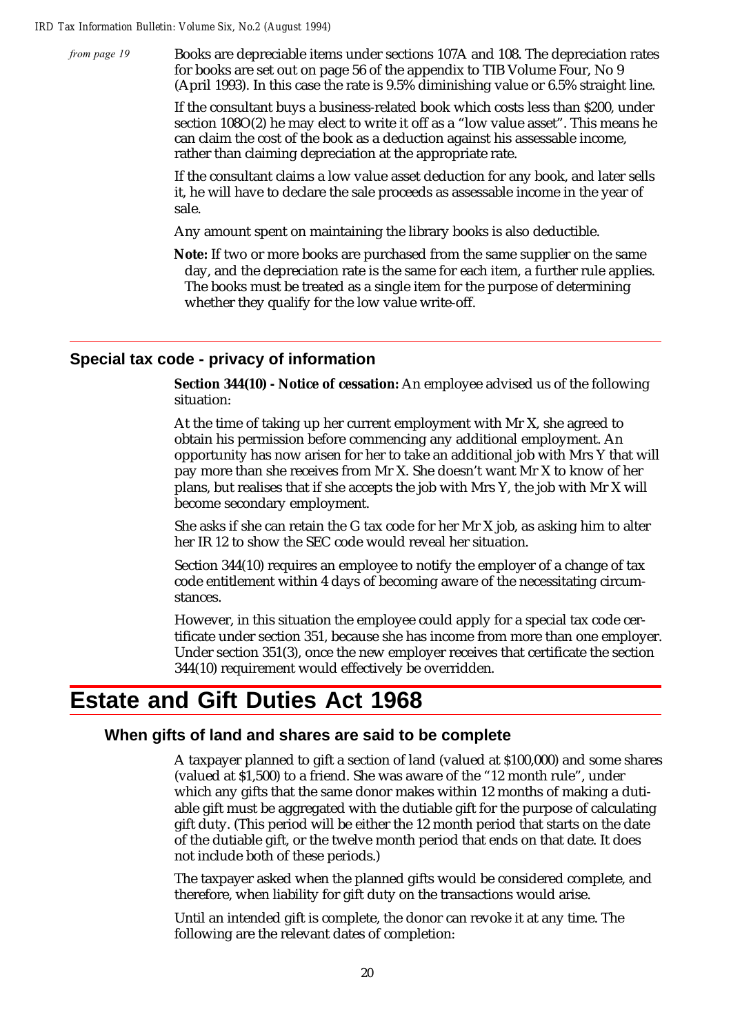from page 19

Books are depreciable items under sections 107A and 108. The depreciation rates for books are set out on page 56 of the appendix to TIB Volume Four, No 9 (April 1993). In this case the rate is 9.5% diminishing value or 6.5% straight line.

If the consultant buys a business-related book which costs less than \$200, under section 108O(2) he may elect to write it off as a "low value asset". This means he can claim the cost of the book as a deduction against his assessable income, rather than claiming depreciation at the appropriate rate.

If the consultant claims a low value asset deduction for any book, and later sells it, he will have to declare the sale proceeds as assessable income in the year of sale.

Any amount spent on maintaining the library books is also deductible.

**Note:** If two or more books are purchased from the same supplier on the same day, and the depreciation rate is the same for each item, a further rule applies. The books must be treated as a single item for the purpose of determining whether they qualify for the low value write-off.

#### **Special tax code - privacy of information**

**Section 344(10) - Notice of cessation:** An employee advised us of the following situation:

At the time of taking up her current employment with Mr X, she agreed to obtain his permission before commencing any additional employment. An opportunity has now arisen for her to take an additional job with Mrs Y that will pay more than she receives from Mr X. She doesn't want Mr X to know of her plans, but realises that if she accepts the job with Mrs Y, the job with Mr X will become secondary employment.

She asks if she can retain the G tax code for her Mr X job, as asking him to alter her IR 12 to show the SEC code would reveal her situation.

Section 344(10) requires an employee to notify the employer of a change of tax code entitlement within 4 days of becoming aware of the necessitating circumstances.

However, in this situation the employee could apply for a special tax code certificate under section 351, because she has income from more than one employer. Under section 351(3), once the new employer receives that certificate the section 344(10) requirement would effectively be overridden.

## **Estate and Gift Duties Act 1968**

#### **When gifts of land and shares are said to be complete**

A taxpayer planned to gift a section of land (valued at \$100,000) and some shares (valued at \$1,500) to a friend. She was aware of the "12 month rule", under which any gifts that the same donor makes within 12 months of making a dutiable gift must be aggregated with the dutiable gift for the purpose of calculating gift duty. (This period will be either the 12 month period that starts on the date of the dutiable gift, or the twelve month period that ends on that date. It does not include both of these periods.)

The taxpayer asked when the planned gifts would be considered complete, and therefore, when liability for gift duty on the transactions would arise.

Until an intended gift is complete, the donor can revoke it at any time. The following are the relevant dates of completion: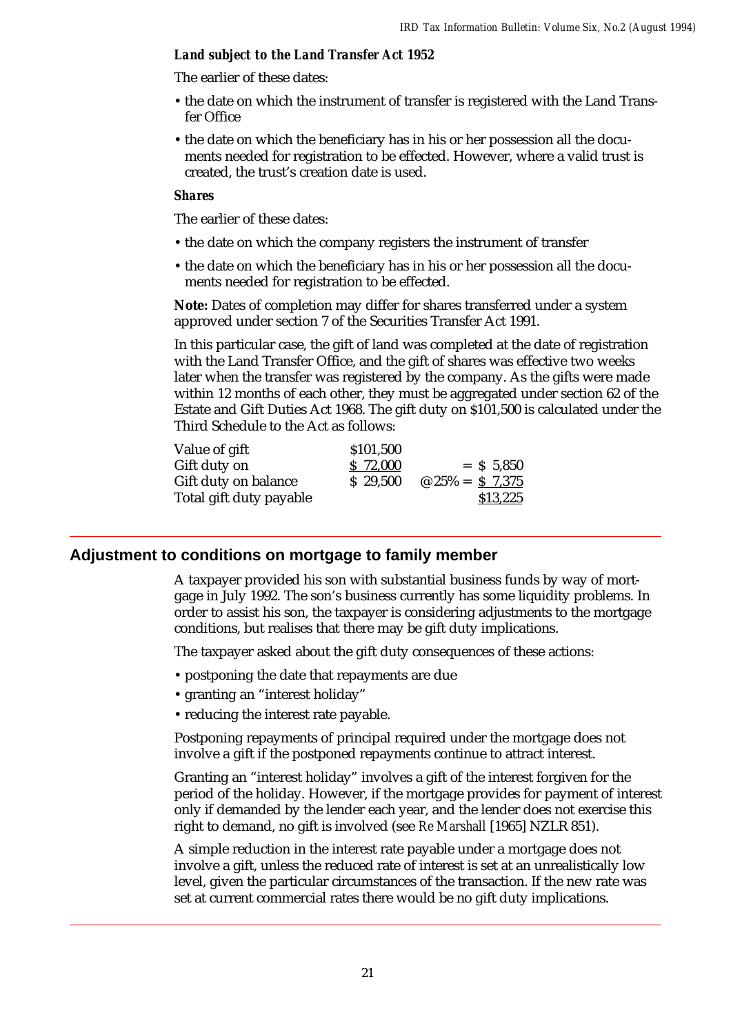#### *Land subject to the Land Transfer Act 1952*

The earlier of these dates:

- the date on which the instrument of transfer is registered with the Land Transfer Office
- the date on which the beneficiary has in his or her possession all the documents needed for registration to be effected. However, where a valid trust is created, the trust's creation date is used.

#### *Shares*

The earlier of these dates:

- the date on which the company registers the instrument of transfer
- the date on which the beneficiary has in his or her possession all the documents needed for registration to be effected.

**Note:** Dates of completion may differ for shares transferred under a system approved under section 7 of the Securities Transfer Act 1991.

In this particular case, the gift of land was completed at the date of registration with the Land Transfer Office, and the gift of shares was effective two weeks later when the transfer was registered by the company. As the gifts were made within 12 months of each other, they must be aggregated under section 62 of the Estate and Gift Duties Act 1968. The gift duty on \$101,500 is calculated under the Third Schedule to the Act as follows:

| Value of gift           | \$101,500 |                         |
|-------------------------|-----------|-------------------------|
| Gift duty on            | \$72,000  | $=$ \$ 5.850            |
| Gift duty on balance    | \$29,500  | $\omega$ 25% = \$ 7,375 |
| Total gift duty payable |           | \$13,225                |

### **Adjustment to conditions on mortgage to family member**

A taxpayer provided his son with substantial business funds by way of mortgage in July 1992. The son's business currently has some liquidity problems. In order to assist his son, the taxpayer is considering adjustments to the mortgage conditions, but realises that there may be gift duty implications.

The taxpayer asked about the gift duty consequences of these actions:

- postponing the date that repayments are due
- granting an "interest holiday"
- reducing the interest rate payable.

Postponing repayments of principal required under the mortgage does not involve a gift if the postponed repayments continue to attract interest.

Granting an "interest holiday" involves a gift of the interest forgiven for the period of the holiday. However, if the mortgage provides for payment of interest only if demanded by the lender each year, and the lender does not exercise this right to demand, no gift is involved (see *Re Marshall* [1965] NZLR 851).

A simple reduction in the interest rate payable under a mortgage does not involve a gift, unless the reduced rate of interest is set at an unrealistically low level, given the particular circumstances of the transaction. If the new rate was set at current commercial rates there would be no gift duty implications.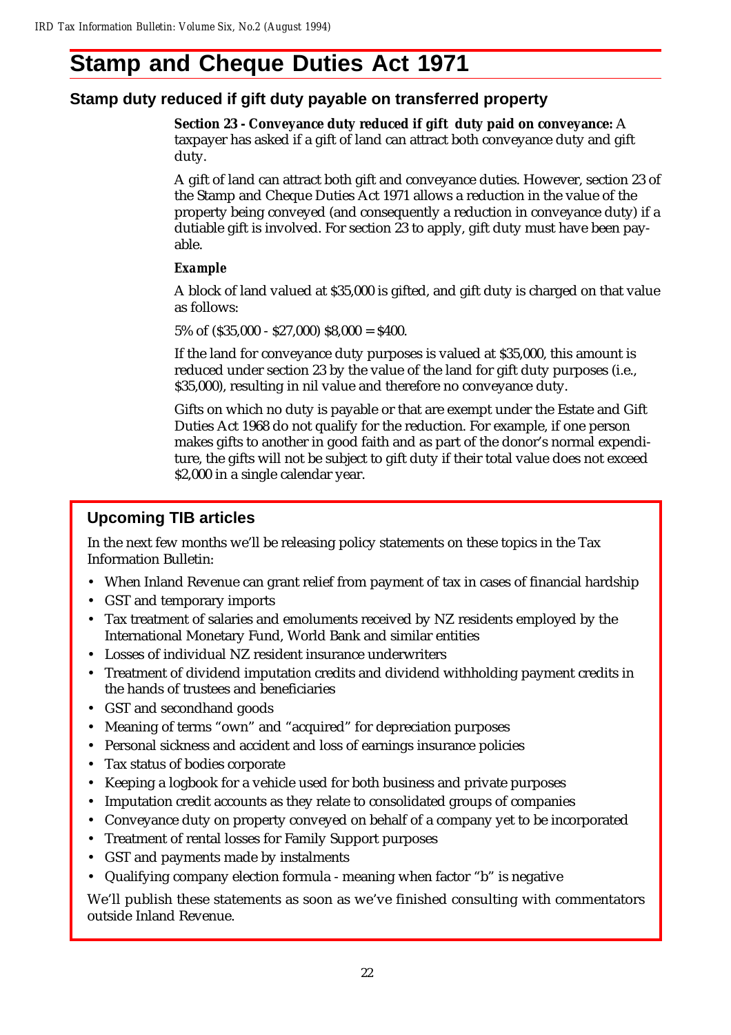## **Stamp and Cheque Duties Act 1971**

## **Stamp duty reduced if gift duty payable on transferred property**

**Section 23 - Conveyance duty reduced if gift duty paid on conveyance:** A taxpayer has asked if a gift of land can attract both conveyance duty and gift duty.

A gift of land can attract both gift and conveyance duties. However, section 23 of the Stamp and Cheque Duties Act 1971 allows a reduction in the value of the property being conveyed (and consequently a reduction in conveyance duty) if a dutiable gift is involved. For section 23 to apply, gift duty must have been payable.

#### *Example*

A block of land valued at \$35,000 is gifted, and gift duty is charged on that value as follows:

5% of  $($ \$35,000 - \$27,000) \$8,000 = \$400.

If the land for conveyance duty purposes is valued at \$35,000, this amount is reduced under section 23 by the value of the land for gift duty purposes (i.e., \$35,000), resulting in nil value and therefore no conveyance duty.

Gifts on which no duty is payable or that are exempt under the Estate and Gift Duties Act 1968 do not qualify for the reduction. For example, if one person makes gifts to another in good faith and as part of the donor's normal expenditure, the gifts will not be subject to gift duty if their total value does not exceed \$2,000 in a single calendar year.

## **Upcoming TIB articles**

In the next few months we'll be releasing policy statements on these topics in the Tax Information Bulletin:

- When Inland Revenue can grant relief from payment of tax in cases of financial hardship
- GST and temporary imports
- Tax treatment of salaries and emoluments received by NZ residents employed by the International Monetary Fund, World Bank and similar entities
- Losses of individual NZ resident insurance underwriters
- Treatment of dividend imputation credits and dividend withholding payment credits in the hands of trustees and beneficiaries
- GST and secondhand goods
- Meaning of terms "own" and "acquired" for depreciation purposes
- Personal sickness and accident and loss of earnings insurance policies
- Tax status of bodies corporate
- Keeping a logbook for a vehicle used for both business and private purposes
- Imputation credit accounts as they relate to consolidated groups of companies
- Conveyance duty on property conveyed on behalf of a company yet to be incorporated
- Treatment of rental losses for Family Support purposes
- GST and payments made by instalments
- Qualifying company election formula meaning when factor "b" is negative

We'll publish these statements as soon as we've finished consulting with commentators outside Inland Revenue.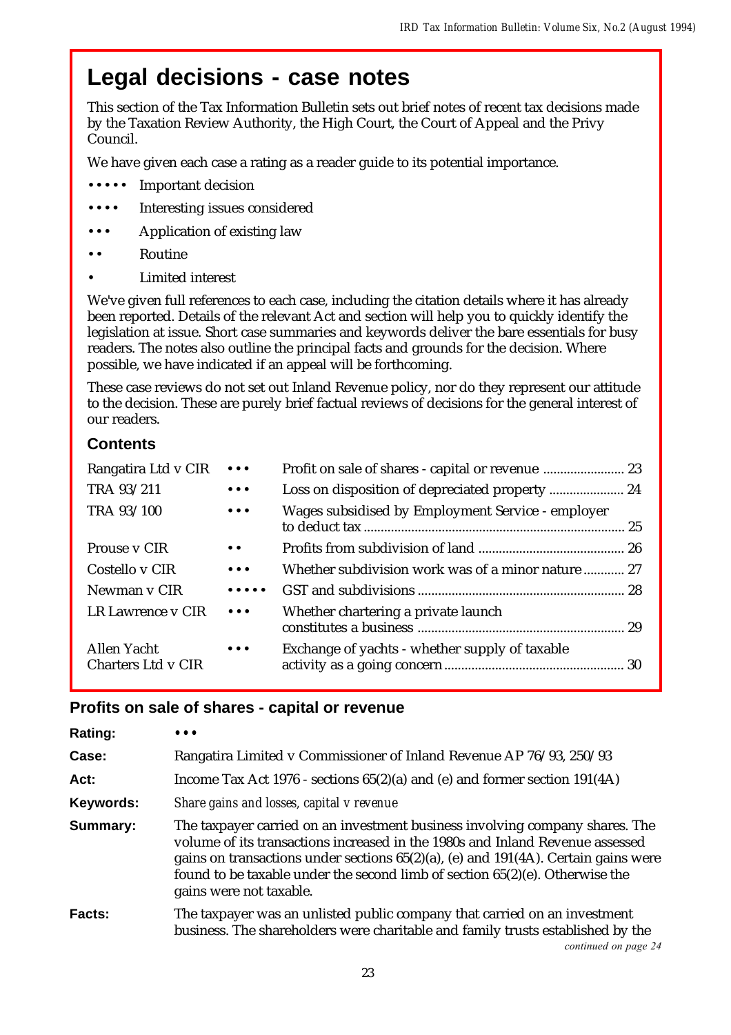## **Legal decisions - case notes**

This section of the Tax Information Bulletin sets out brief notes of recent tax decisions made by the Taxation Review Authority, the High Court, the Court of Appeal and the Privy Council.

We have given each case a rating as a reader guide to its potential importance.

- •••• Important decision
- Interesting issues considered
- Application of existing law
- **Routine** 
	- Limited interest

We've given full references to each case, including the citation details where it has already been reported. Details of the relevant Act and section will help you to quickly identify the legislation at issue. Short case summaries and keywords deliver the bare essentials for busy readers. The notes also outline the principal facts and grounds for the decision. Where possible, we have indicated if an appeal will be forthcoming.

These case reviews do not set out Inland Revenue policy, nor do they represent our attitude to the decision. These are purely brief factual reviews of decisions for the general interest of our readers.

## **Contents**

| Rangatira Ltd v CIR                             | $\bullet\bullet\bullet$               |                                                    |  |
|-------------------------------------------------|---------------------------------------|----------------------------------------------------|--|
| TRA 93/211                                      | $\bullet\bullet\bullet$               |                                                    |  |
| TRA 93/100                                      | $\bullet\bullet\bullet$               | Wages subsidised by Employment Service - employer  |  |
| Prouse v CIR                                    | $\bullet$ $\bullet$                   |                                                    |  |
| Costello y CIR                                  | $\bullet\bullet\bullet$               | Whether subdivision work was of a minor nature  27 |  |
| Newman v CIR                                    | $\bullet\bullet\bullet\bullet\bullet$ |                                                    |  |
| LR Lawrence v CIR                               | $\bullet\bullet\bullet$               | Whether chartering a private launch                |  |
| <b>Allen Yacht</b><br><b>Charters Ltd v CIR</b> | $\bullet\bullet\bullet$               | Exchange of yachts - whether supply of taxable     |  |

## **Profits on sale of shares - capital or revenue**

| <b>Rating:</b> |                                                                                                                                                                                                                                                                                                                                                                         |
|----------------|-------------------------------------------------------------------------------------------------------------------------------------------------------------------------------------------------------------------------------------------------------------------------------------------------------------------------------------------------------------------------|
| Case:          | Rangatira Limited v Commissioner of Inland Revenue AP 76/93, 250/93                                                                                                                                                                                                                                                                                                     |
| Act:           | Income Tax Act 1976 - sections $65(2)(a)$ and (e) and former section 191(4A)                                                                                                                                                                                                                                                                                            |
| Keywords:      | Share gains and losses, capital v revenue                                                                                                                                                                                                                                                                                                                               |
| Summary:       | The taxpayer carried on an investment business involving company shares. The<br>volume of its transactions increased in the 1980s and Inland Revenue assessed<br>gains on transactions under sections $65(2)(a)$ , (e) and $191(4A)$ . Certain gains were<br>found to be taxable under the second limb of section $65(2)(e)$ . Otherwise the<br>gains were not taxable. |
| <b>Facts:</b>  | The taxpayer was an unlisted public company that carried on an investment<br>business. The shareholders were charitable and family trusts established by the<br>continued on page 24                                                                                                                                                                                    |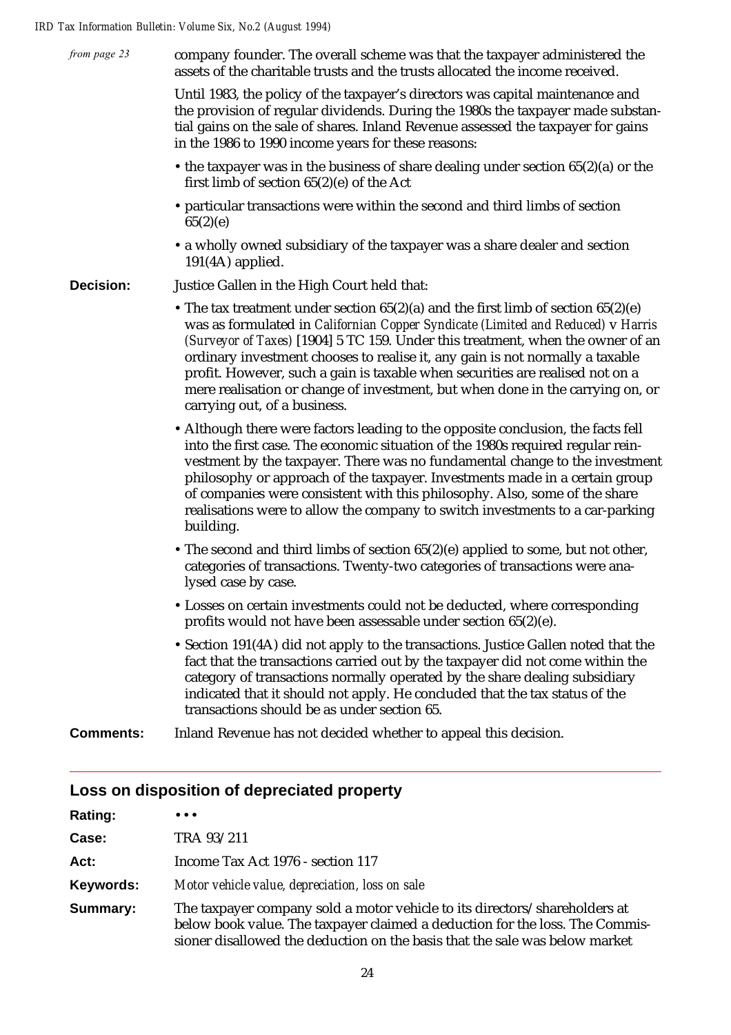| from page 23     | company founder. The overall scheme was that the taxpayer administered the<br>assets of the charitable trusts and the trusts allocated the income received.                                                                                                                                                                                                                                                                                                                                                                                      |
|------------------|--------------------------------------------------------------------------------------------------------------------------------------------------------------------------------------------------------------------------------------------------------------------------------------------------------------------------------------------------------------------------------------------------------------------------------------------------------------------------------------------------------------------------------------------------|
|                  | Until 1983, the policy of the taxpayer's directors was capital maintenance and<br>the provision of regular dividends. During the 1980s the taxpayer made substan-<br>tial gains on the sale of shares. Inland Revenue assessed the taxpayer for gains<br>in the 1986 to 1990 income years for these reasons:                                                                                                                                                                                                                                     |
|                  | • the taxpayer was in the business of share dealing under section $65(2)(a)$ or the<br>first limb of section $65(2)$ (e) of the Act                                                                                                                                                                                                                                                                                                                                                                                                              |
|                  | • particular transactions were within the second and third limbs of section<br>65(2)(e)                                                                                                                                                                                                                                                                                                                                                                                                                                                          |
|                  | • a wholly owned subsidiary of the taxpayer was a share dealer and section<br>$191(4A)$ applied.                                                                                                                                                                                                                                                                                                                                                                                                                                                 |
| <b>Decision:</b> | Justice Gallen in the High Court held that:                                                                                                                                                                                                                                                                                                                                                                                                                                                                                                      |
|                  | • The tax treatment under section $65(2)(a)$ and the first limb of section $65(2)(e)$<br>was as formulated in Californian Copper Syndicate (Limited and Reduced) v Harris<br>(Surveyor of Taxes) [1904] 5 TC 159. Under this treatment, when the owner of an<br>ordinary investment chooses to realise it, any gain is not normally a taxable<br>profit. However, such a gain is taxable when securities are realised not on a<br>mere realisation or change of investment, but when done in the carrying on, or<br>carrying out, of a business. |
|                  | • Although there were factors leading to the opposite conclusion, the facts fell<br>into the first case. The economic situation of the 1980s required regular rein-<br>vestment by the taxpayer. There was no fundamental change to the investment<br>philosophy or approach of the taxpayer. Investments made in a certain group<br>of companies were consistent with this philosophy. Also, some of the share<br>realisations were to allow the company to switch investments to a car-parking<br>building.                                    |
|                  | • The second and third limbs of section 65(2)(e) applied to some, but not other,<br>categories of transactions. Twenty-two categories of transactions were ana-<br>lysed case by case.                                                                                                                                                                                                                                                                                                                                                           |
|                  | • Losses on certain investments could not be deducted, where corresponding<br>profits would not have been assessable under section 65(2)(e).                                                                                                                                                                                                                                                                                                                                                                                                     |
|                  | • Section 191(4A) did not apply to the transactions. Justice Gallen noted that the<br>fact that the transactions carried out by the taxpayer did not come within the<br>category of transactions normally operated by the share dealing subsidiary<br>indicated that it should not apply. He concluded that the tax status of the<br>transactions should be as under section 65.                                                                                                                                                                 |
| <b>Comments:</b> | Inland Revenue has not decided whether to appeal this decision.                                                                                                                                                                                                                                                                                                                                                                                                                                                                                  |
|                  |                                                                                                                                                                                                                                                                                                                                                                                                                                                                                                                                                  |

## **Loss on disposition of depreciated property**

| <b>Rating:</b> | $\bullet\bullet\bullet$                                                                                                                                                                                                                   |
|----------------|-------------------------------------------------------------------------------------------------------------------------------------------------------------------------------------------------------------------------------------------|
| Case:          | TRA 93/211                                                                                                                                                                                                                                |
| Act:           | Income Tax Act 1976 - section 117                                                                                                                                                                                                         |
| Keywords:      | Motor vehicle value, depreciation, loss on sale                                                                                                                                                                                           |
| Summary:       | The taxpayer company sold a motor vehicle to its directors/shareholders at<br>below book value. The taxpayer claimed a deduction for the loss. The Commis-<br>sioner disallowed the deduction on the basis that the sale was below market |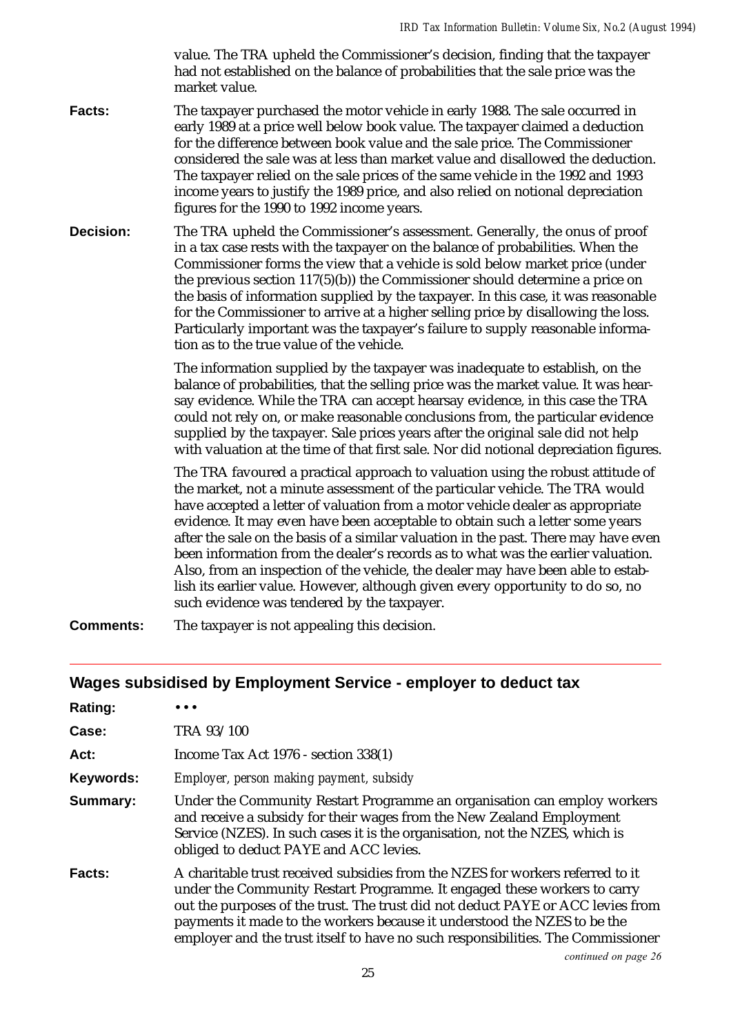value. The TRA upheld the Commissioner's decision, finding that the taxpayer had not established on the balance of probabilities that the sale price was the market value.

**Facts:** The taxpayer purchased the motor vehicle in early 1988. The sale occurred in early 1989 at a price well below book value. The taxpayer claimed a deduction for the difference between book value and the sale price. The Commissioner considered the sale was at less than market value and disallowed the deduction. The taxpayer relied on the sale prices of the same vehicle in the 1992 and 1993 income years to justify the 1989 price, and also relied on notional depreciation figures for the 1990 to 1992 income years.

**Decision:** The TRA upheld the Commissioner's assessment. Generally, the onus of proof in a tax case rests with the taxpayer on the balance of probabilities. When the Commissioner forms the view that a vehicle is sold below market price (under the previous section 117(5)(b)) the Commissioner should determine a price on the basis of information supplied by the taxpayer. In this case, it was reasonable for the Commissioner to arrive at a higher selling price by disallowing the loss. Particularly important was the taxpayer's failure to supply reasonable information as to the true value of the vehicle.

> The information supplied by the taxpayer was inadequate to establish, on the balance of probabilities, that the selling price was the market value. It was hearsay evidence. While the TRA can accept hearsay evidence, in this case the TRA could not rely on, or make reasonable conclusions from, the particular evidence supplied by the taxpayer. Sale prices years after the original sale did not help with valuation at the time of that first sale. Nor did notional depreciation figures.

> The TRA favoured a practical approach to valuation using the robust attitude of the market, not a minute assessment of the particular vehicle. The TRA would have accepted a letter of valuation from a motor vehicle dealer as appropriate evidence. It may even have been acceptable to obtain such a letter some years after the sale on the basis of a similar valuation in the past. There may have even been information from the dealer's records as to what was the earlier valuation. Also, from an inspection of the vehicle, the dealer may have been able to establish its earlier value. However, although given every opportunity to do so, no such evidence was tendered by the taxpayer.

**Comments:** The taxpayer is not appealing this decision.

### **Wages subsidised by Employment Service - employer to deduct tax**

| <b>Rating:</b> |                                                                                                                                                                                                                                                                                                                                                                                                               |
|----------------|---------------------------------------------------------------------------------------------------------------------------------------------------------------------------------------------------------------------------------------------------------------------------------------------------------------------------------------------------------------------------------------------------------------|
| Case:          | TRA 93/100                                                                                                                                                                                                                                                                                                                                                                                                    |
| Act:           | Income Tax Act 1976 - section 338(1)                                                                                                                                                                                                                                                                                                                                                                          |
| Keywords:      | Employer, person making payment, subsidy                                                                                                                                                                                                                                                                                                                                                                      |
| Summary:       | Under the Community Restart Programme an organisation can employ workers<br>and receive a subsidy for their wages from the New Zealand Employment<br>Service (NZES). In such cases it is the organisation, not the NZES, which is<br>obliged to deduct PAYE and ACC levies.                                                                                                                                   |
| <b>Facts:</b>  | A charitable trust received subsidies from the NZES for workers referred to it<br>under the Community Restart Programme. It engaged these workers to carry<br>out the purposes of the trust. The trust did not deduct PAYE or ACC levies from<br>payments it made to the workers because it understood the NZES to be the<br>employer and the trust itself to have no such responsibilities. The Commissioner |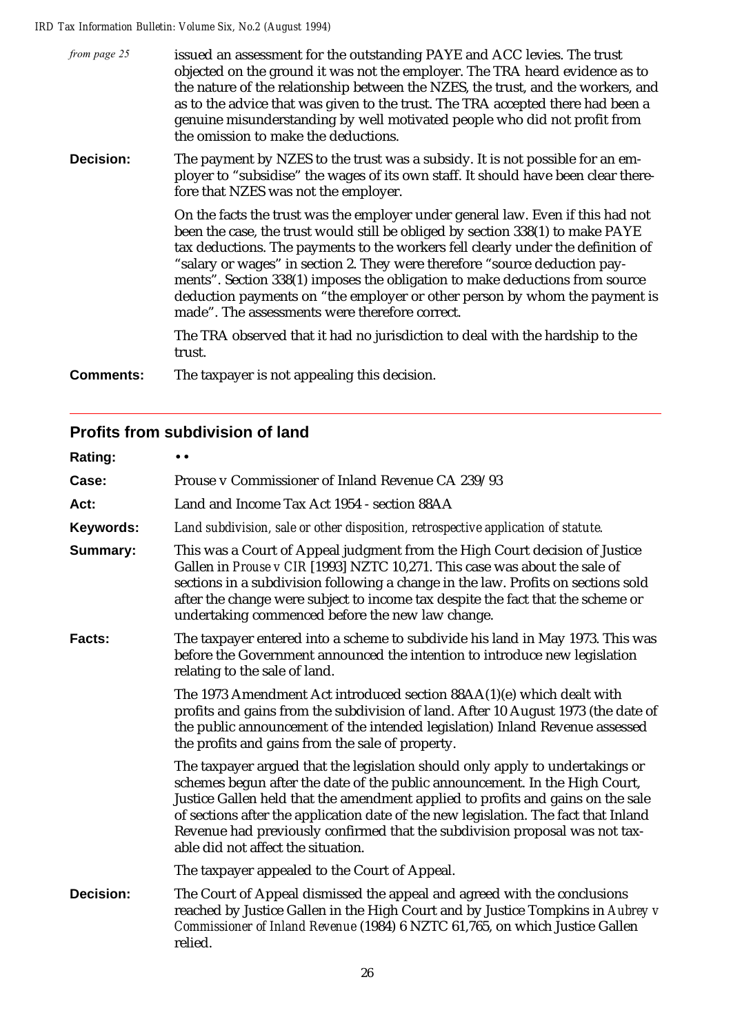| from page 25     | issued an assessment for the outstanding PAYE and ACC levies. The trust<br>objected on the ground it was not the employer. The TRA heard evidence as to<br>the nature of the relationship between the NZES, the trust, and the workers, and<br>as to the advice that was given to the trust. The TRA accepted there had been a<br>genuine misunderstanding by well motivated people who did not profit from<br>the omission to make the deductions.                                                                                                 |
|------------------|-----------------------------------------------------------------------------------------------------------------------------------------------------------------------------------------------------------------------------------------------------------------------------------------------------------------------------------------------------------------------------------------------------------------------------------------------------------------------------------------------------------------------------------------------------|
| Decision:        | The payment by NZES to the trust was a subsidy. It is not possible for an em-<br>ployer to "subsidise" the wages of its own staff. It should have been clear there-<br>fore that NZES was not the employer.                                                                                                                                                                                                                                                                                                                                         |
|                  | On the facts the trust was the employer under general law. Even if this had not<br>been the case, the trust would still be obliged by section 338(1) to make PAYE<br>tax deductions. The payments to the workers fell clearly under the definition of<br>"salary or wages" in section 2. They were therefore "source deduction pay-<br>ments". Section 338(1) imposes the obligation to make deductions from source<br>deduction payments on "the employer or other person by whom the payment is<br>made". The assessments were therefore correct. |
|                  | The TRA observed that it had no jurisdiction to deal with the hardship to the<br>trust.                                                                                                                                                                                                                                                                                                                                                                                                                                                             |
| <b>Comments:</b> | The taxpayer is not appealing this decision.                                                                                                                                                                                                                                                                                                                                                                                                                                                                                                        |

## **Profits from subdivision of land**

| Rating:                                                                                                                                                                                                 | $\bullet$                                                                                                                                                                                                                                                                                                                                                                                                                                                   |  |  |  |
|---------------------------------------------------------------------------------------------------------------------------------------------------------------------------------------------------------|-------------------------------------------------------------------------------------------------------------------------------------------------------------------------------------------------------------------------------------------------------------------------------------------------------------------------------------------------------------------------------------------------------------------------------------------------------------|--|--|--|
| Case:                                                                                                                                                                                                   | Prouse v Commissioner of Inland Revenue CA 239/93                                                                                                                                                                                                                                                                                                                                                                                                           |  |  |  |
| Act:                                                                                                                                                                                                    | Land and Income Tax Act 1954 - section 88AA                                                                                                                                                                                                                                                                                                                                                                                                                 |  |  |  |
| Keywords:                                                                                                                                                                                               | Land subdivision, sale or other disposition, retrospective application of statute.                                                                                                                                                                                                                                                                                                                                                                          |  |  |  |
| <b>Summary:</b>                                                                                                                                                                                         | This was a Court of Appeal judgment from the High Court decision of Justice<br>Gallen in Prouse v CIR [1993] NZTC 10,271. This case was about the sale of<br>sections in a subdivision following a change in the law. Profits on sections sold<br>after the change were subject to income tax despite the fact that the scheme or<br>undertaking commenced before the new law change.                                                                       |  |  |  |
| The taxpayer entered into a scheme to subdivide his land in May 1973. This was<br>Facts:<br>before the Government announced the intention to introduce new legislation<br>relating to the sale of land. |                                                                                                                                                                                                                                                                                                                                                                                                                                                             |  |  |  |
|                                                                                                                                                                                                         | The 1973 Amendment Act introduced section 88AA(1)(e) which dealt with<br>profits and gains from the subdivision of land. After 10 August 1973 (the date of<br>the public announcement of the intended legislation) Inland Revenue assessed<br>the profits and gains from the sale of property.                                                                                                                                                              |  |  |  |
|                                                                                                                                                                                                         | The taxpayer argued that the legislation should only apply to undertakings or<br>schemes begun after the date of the public announcement. In the High Court,<br>Justice Gallen held that the amendment applied to profits and gains on the sale<br>of sections after the application date of the new legislation. The fact that Inland<br>Revenue had previously confirmed that the subdivision proposal was not tax-<br>able did not affect the situation. |  |  |  |
|                                                                                                                                                                                                         | The taxpayer appealed to the Court of Appeal.                                                                                                                                                                                                                                                                                                                                                                                                               |  |  |  |
| <b>Decision:</b>                                                                                                                                                                                        | The Court of Appeal dismissed the appeal and agreed with the conclusions<br>reached by Justice Gallen in the High Court and by Justice Tompkins in Aubrey v<br>Commissioner of Inland Revenue (1984) 6 NZTC 61,765, on which Justice Gallen<br>relied.                                                                                                                                                                                                      |  |  |  |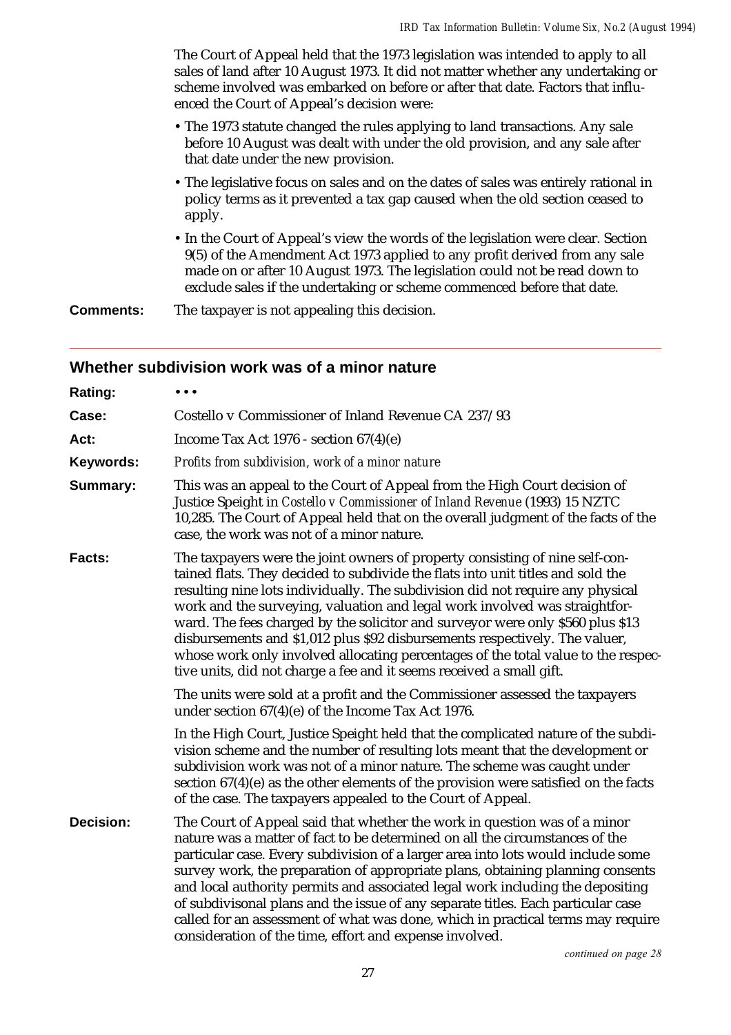The Court of Appeal held that the 1973 legislation was intended to apply to all sales of land after 10 August 1973. It did not matter whether any undertaking or scheme involved was embarked on before or after that date. Factors that influenced the Court of Appeal's decision were:

- The 1973 statute changed the rules applying to land transactions. Any sale before 10 August was dealt with under the old provision, and any sale after that date under the new provision.
- The legislative focus on sales and on the dates of sales was entirely rational in policy terms as it prevented a tax gap caused when the old section ceased to apply.
- In the Court of Appeal's view the words of the legislation were clear. Section 9(5) of the Amendment Act 1973 applied to any profit derived from any sale made on or after 10 August 1973. The legislation could not be read down to exclude sales if the undertaking or scheme commenced before that date.

**Comments:** The taxpayer is not appealing this decision.

#### **Whether subdivision work was of a minor nature**

| Rating:          |                                                                                                                                                                                                                                                                                                                                                                                                                                                                                                                                                                                                                                                               |  |  |  |
|------------------|---------------------------------------------------------------------------------------------------------------------------------------------------------------------------------------------------------------------------------------------------------------------------------------------------------------------------------------------------------------------------------------------------------------------------------------------------------------------------------------------------------------------------------------------------------------------------------------------------------------------------------------------------------------|--|--|--|
| Case:            | Costello v Commissioner of Inland Revenue CA 237/93                                                                                                                                                                                                                                                                                                                                                                                                                                                                                                                                                                                                           |  |  |  |
| Act:             | Income Tax Act $1976$ - section $67(4)(e)$                                                                                                                                                                                                                                                                                                                                                                                                                                                                                                                                                                                                                    |  |  |  |
| Keywords:        | Profits from subdivision, work of a minor nature                                                                                                                                                                                                                                                                                                                                                                                                                                                                                                                                                                                                              |  |  |  |
| Summary:         | This was an appeal to the Court of Appeal from the High Court decision of<br>Justice Speight in Costello v Commissioner of Inland Revenue (1993) 15 NZTC<br>10,285. The Court of Appeal held that on the overall judgment of the facts of the<br>case, the work was not of a minor nature.                                                                                                                                                                                                                                                                                                                                                                    |  |  |  |
| Facts:           | The taxpayers were the joint owners of property consisting of nine self-con-<br>tained flats. They decided to subdivide the flats into unit titles and sold the<br>resulting nine lots individually. The subdivision did not require any physical<br>work and the surveying, valuation and legal work involved was straightfor-<br>ward. The fees charged by the solicitor and surveyor were only \$560 plus \$13<br>disbursements and \$1,012 plus \$92 disbursements respectively. The valuer,<br>whose work only involved allocating percentages of the total value to the respec-<br>tive units, did not charge a fee and it seems received a small gift. |  |  |  |
|                  | The units were sold at a profit and the Commissioner assessed the taxpayers<br>under section $67(4)(e)$ of the Income Tax Act 1976.                                                                                                                                                                                                                                                                                                                                                                                                                                                                                                                           |  |  |  |
|                  | In the High Court, Justice Speight held that the complicated nature of the subdi-<br>vision scheme and the number of resulting lots meant that the development or<br>subdivision work was not of a minor nature. The scheme was caught under<br>section $67(4)(e)$ as the other elements of the provision were satisfied on the facts<br>of the case. The taxpayers appealed to the Court of Appeal.                                                                                                                                                                                                                                                          |  |  |  |
| <b>Decision:</b> | The Court of Appeal said that whether the work in question was of a minor<br>nature was a matter of fact to be determined on all the circumstances of the<br>particular case. Every subdivision of a larger area into lots would include some<br>survey work, the preparation of appropriate plans, obtaining planning consents<br>and local authority permits and associated legal work including the depositing<br>of subdivisonal plans and the issue of any separate titles. Each particular case<br>called for an assessment of what was done, which in practical terms may require<br>consideration of the time, effort and expense involved.           |  |  |  |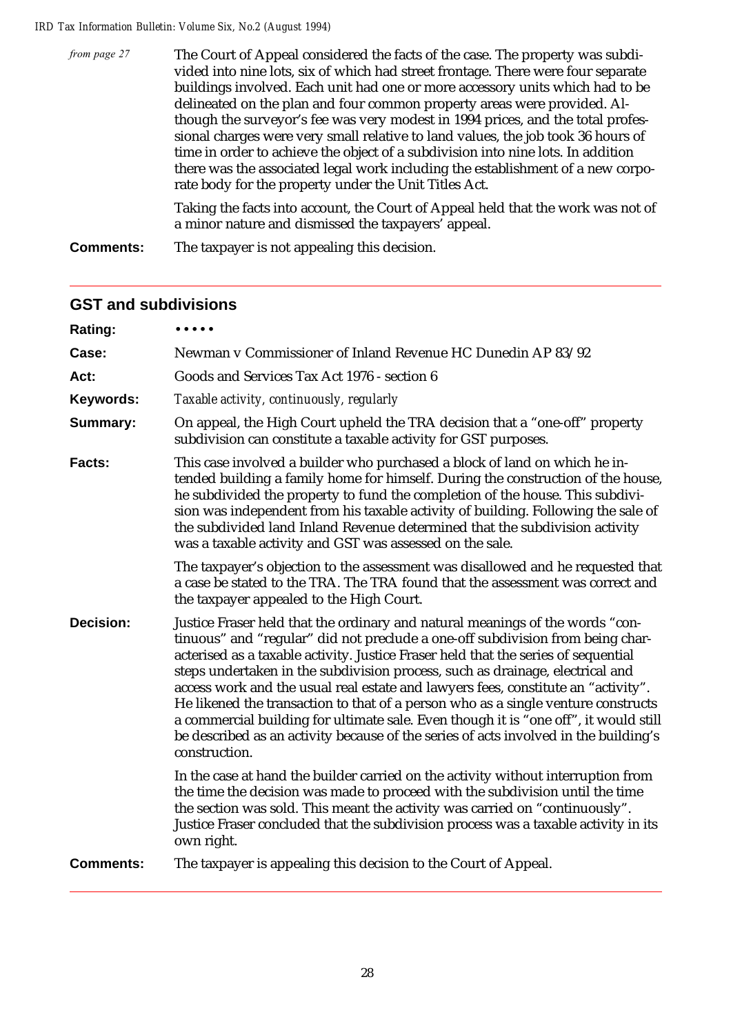| from page 27 | The Court of Appeal considered the facts of the case. The property was subdi-<br>vided into nine lots, six of which had street frontage. There were four separate<br>buildings involved. Each unit had one or more accessory units which had to be |
|--------------|----------------------------------------------------------------------------------------------------------------------------------------------------------------------------------------------------------------------------------------------------|
|              | delineated on the plan and four common property areas were provided. Al-<br>though the surveyor's fee was very modest in 1994 prices, and the total profes-<br>sional charges were very small relative to land values, the job took 36 hours of    |
|              | time in order to achieve the object of a subdivision into nine lots. In addition<br>there was the associated legal work including the establishment of a new corpo-<br>rate body for the property under the Unit Titles Act.                       |
|              |                                                                                                                                                                                                                                                    |

Taking the facts into account, the Court of Appeal held that the work was not of a minor nature and dismissed the taxpayers' appeal.

**Comments:** The taxpayer is not appealing this decision.

| Rating:          | $\bullet\bullet\bullet\bullet\bullet$                                                                                                                                                                                                                                                                                                                                                                                                                                                                                                                                                                                                                                                                             |  |  |  |  |
|------------------|-------------------------------------------------------------------------------------------------------------------------------------------------------------------------------------------------------------------------------------------------------------------------------------------------------------------------------------------------------------------------------------------------------------------------------------------------------------------------------------------------------------------------------------------------------------------------------------------------------------------------------------------------------------------------------------------------------------------|--|--|--|--|
| Case:            | Newman v Commissioner of Inland Revenue HC Dunedin AP 83/92                                                                                                                                                                                                                                                                                                                                                                                                                                                                                                                                                                                                                                                       |  |  |  |  |
| Act:             | Goods and Services Tax Act 1976 - section 6                                                                                                                                                                                                                                                                                                                                                                                                                                                                                                                                                                                                                                                                       |  |  |  |  |
| Keywords:        | Taxable activity, continuously, regularly                                                                                                                                                                                                                                                                                                                                                                                                                                                                                                                                                                                                                                                                         |  |  |  |  |
| Summary:         | On appeal, the High Court upheld the TRA decision that a "one-off" property<br>subdivision can constitute a taxable activity for GST purposes.                                                                                                                                                                                                                                                                                                                                                                                                                                                                                                                                                                    |  |  |  |  |
| Facts:           | This case involved a builder who purchased a block of land on which he in-<br>tended building a family home for himself. During the construction of the house,<br>he subdivided the property to fund the completion of the house. This subdivi-<br>sion was independent from his taxable activity of building. Following the sale of<br>the subdivided land Inland Revenue determined that the subdivision activity<br>was a taxable activity and GST was assessed on the sale.                                                                                                                                                                                                                                   |  |  |  |  |
|                  | The taxpayer's objection to the assessment was disallowed and he requested that<br>a case be stated to the TRA. The TRA found that the assessment was correct and<br>the taxpayer appealed to the High Court.                                                                                                                                                                                                                                                                                                                                                                                                                                                                                                     |  |  |  |  |
| <b>Decision:</b> | Justice Fraser held that the ordinary and natural meanings of the words "con-<br>tinuous" and "regular" did not preclude a one-off subdivision from being char-<br>acterised as a taxable activity. Justice Fraser held that the series of sequential<br>steps undertaken in the subdivision process, such as drainage, electrical and<br>access work and the usual real estate and lawyers fees, constitute an "activity".<br>He likened the transaction to that of a person who as a single venture constructs<br>a commercial building for ultimate sale. Even though it is "one off", it would still<br>be described as an activity because of the series of acts involved in the building's<br>construction. |  |  |  |  |
|                  | In the case at hand the builder carried on the activity without interruption from<br>the time the decision was made to proceed with the subdivision until the time<br>the section was sold. This meant the activity was carried on "continuously".<br>Justice Fraser concluded that the subdivision process was a taxable activity in its<br>own right.                                                                                                                                                                                                                                                                                                                                                           |  |  |  |  |
| <b>Comments:</b> | The taxpayer is appealing this decision to the Court of Appeal.                                                                                                                                                                                                                                                                                                                                                                                                                                                                                                                                                                                                                                                   |  |  |  |  |

## **GST and subdivisions**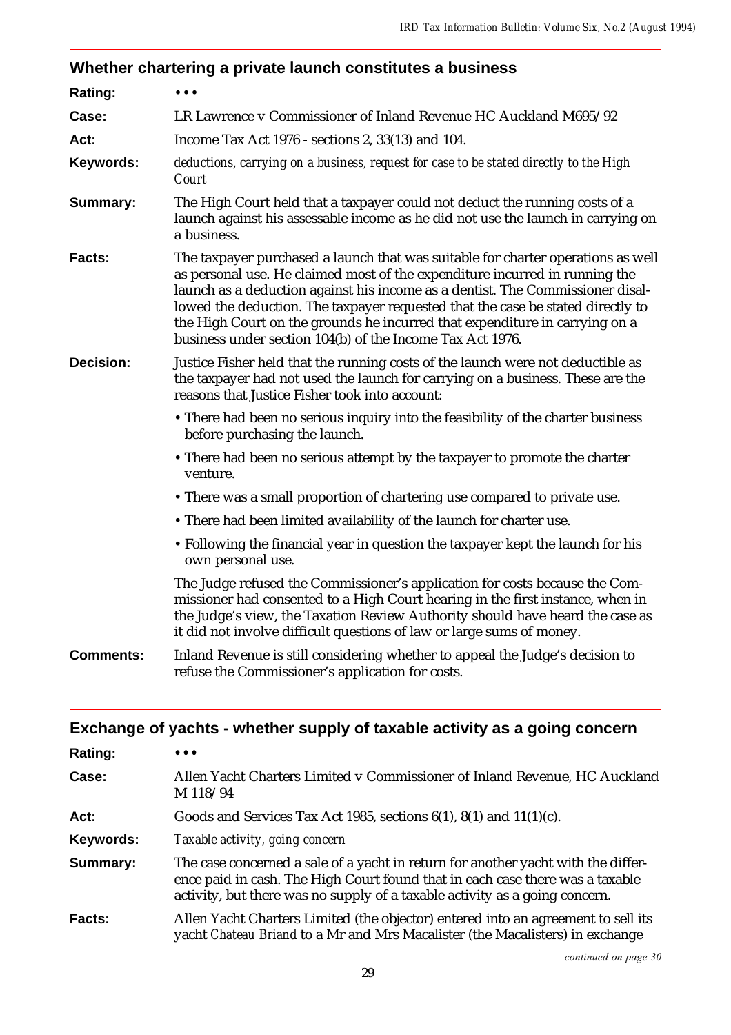## **Whether chartering a private launch constitutes a business**

| Rating:                                                                                                           | $\ddot{\phantom{a}}$                                                                                                                                                                                                                                                                                                                                                                                                                                                             |  |  |  |
|-------------------------------------------------------------------------------------------------------------------|----------------------------------------------------------------------------------------------------------------------------------------------------------------------------------------------------------------------------------------------------------------------------------------------------------------------------------------------------------------------------------------------------------------------------------------------------------------------------------|--|--|--|
| Case:                                                                                                             | LR Lawrence v Commissioner of Inland Revenue HC Auckland M695/92                                                                                                                                                                                                                                                                                                                                                                                                                 |  |  |  |
| Act:                                                                                                              | Income Tax Act 1976 - sections 2, 33(13) and 104.                                                                                                                                                                                                                                                                                                                                                                                                                                |  |  |  |
| Keywords:                                                                                                         | deductions, carrying on a business, request for case to be stated directly to the High<br>Court                                                                                                                                                                                                                                                                                                                                                                                  |  |  |  |
| Summary:                                                                                                          | The High Court held that a taxpayer could not deduct the running costs of a<br>launch against his assessable income as he did not use the launch in carrying on<br>a business.                                                                                                                                                                                                                                                                                                   |  |  |  |
| Facts:                                                                                                            | The taxpayer purchased a launch that was suitable for charter operations as well<br>as personal use. He claimed most of the expenditure incurred in running the<br>launch as a deduction against his income as a dentist. The Commissioner disal-<br>lowed the deduction. The taxpayer requested that the case be stated directly to<br>the High Court on the grounds he incurred that expenditure in carrying on a<br>business under section 104(b) of the Income Tax Act 1976. |  |  |  |
| <b>Decision:</b>                                                                                                  | Justice Fisher held that the running costs of the launch were not deductible as<br>the taxpayer had not used the launch for carrying on a business. These are the<br>reasons that Justice Fisher took into account:                                                                                                                                                                                                                                                              |  |  |  |
| • There had been no serious inquiry into the feasibility of the charter business<br>before purchasing the launch. |                                                                                                                                                                                                                                                                                                                                                                                                                                                                                  |  |  |  |
|                                                                                                                   | • There had been no serious attempt by the taxpayer to promote the charter<br>venture.                                                                                                                                                                                                                                                                                                                                                                                           |  |  |  |
|                                                                                                                   | • There was a small proportion of chartering use compared to private use.                                                                                                                                                                                                                                                                                                                                                                                                        |  |  |  |
|                                                                                                                   | • There had been limited availability of the launch for charter use.                                                                                                                                                                                                                                                                                                                                                                                                             |  |  |  |
|                                                                                                                   | • Following the financial year in question the taxpayer kept the launch for his<br>own personal use.                                                                                                                                                                                                                                                                                                                                                                             |  |  |  |
|                                                                                                                   | The Judge refused the Commissioner's application for costs because the Com-<br>missioner had consented to a High Court hearing in the first instance, when in<br>the Judge's view, the Taxation Review Authority should have heard the case as<br>it did not involve difficult questions of law or large sums of money.                                                                                                                                                          |  |  |  |
| <b>Comments:</b>                                                                                                  | Inland Revenue is still considering whether to appeal the Judge's decision to<br>refuse the Commissioner's application for costs.                                                                                                                                                                                                                                                                                                                                                |  |  |  |

## **Exchange of yachts - whether supply of taxable activity as a going concern**

| <b>Rating:</b> |                                                                                                                                                                                                                                                   |  |  |
|----------------|---------------------------------------------------------------------------------------------------------------------------------------------------------------------------------------------------------------------------------------------------|--|--|
| Case:          | Allen Yacht Charters Limited v Commissioner of Inland Revenue, HC Auckland<br>M 118/94                                                                                                                                                            |  |  |
| Act:           | Goods and Services Tax Act 1985, sections $6(1)$ , $8(1)$ and $11(1)(c)$ .                                                                                                                                                                        |  |  |
| Keywords:      | Taxable activity, going concern                                                                                                                                                                                                                   |  |  |
| Summary:       | The case concerned a sale of a yacht in return for another yacht with the differ-<br>ence paid in cash. The High Court found that in each case there was a taxable<br>activity, but there was no supply of a taxable activity as a going concern. |  |  |
| <b>Facts:</b>  | Allen Yacht Charters Limited (the objector) entered into an agreement to sell its<br>yacht Chateau Briand to a Mr and Mrs Macalister (the Macalisters) in exchange                                                                                |  |  |

continued on page 30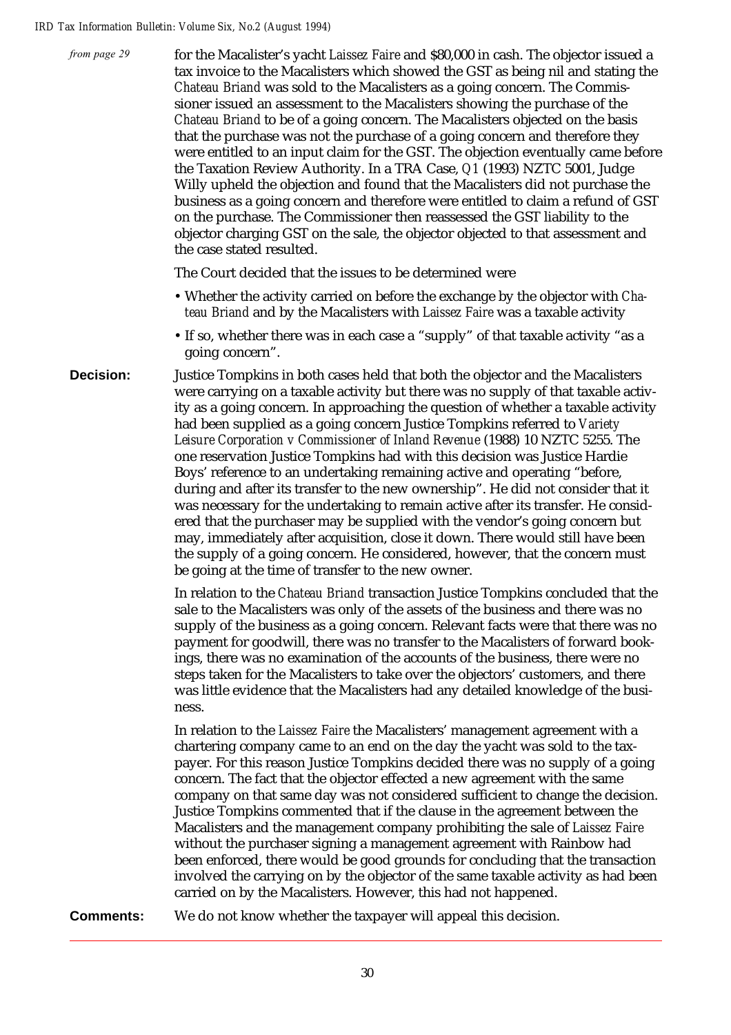| from page 29 | for the Macalister's yacht Laissez Faire and \$80,000 in cash. The objector issued a<br>tax invoice to the Macalisters which showed the GST as being nil and stating the<br>Chateau Briand was sold to the Macalisters as a going concern. The Commis-<br>sioner issued an assessment to the Macalisters showing the purchase of the<br>Chateau Briand to be of a going concern. The Macalisters objected on the basis<br>that the purchase was not the purchase of a going concern and therefore they<br>were entitled to an input claim for the GST. The objection eventually came before<br>the Taxation Review Authority. In a TRA Case, Q1 (1993) NZTC 5001, Judge<br>Willy upheld the objection and found that the Macalisters did not purchase the<br>business as a going concern and therefore were entitled to claim a refund of GST<br>on the purchase. The Commissioner then reassessed the GST liability to the<br>objector charging GST on the sale, the objector objected to that assessment and<br>the case stated resulted. |
|--------------|---------------------------------------------------------------------------------------------------------------------------------------------------------------------------------------------------------------------------------------------------------------------------------------------------------------------------------------------------------------------------------------------------------------------------------------------------------------------------------------------------------------------------------------------------------------------------------------------------------------------------------------------------------------------------------------------------------------------------------------------------------------------------------------------------------------------------------------------------------------------------------------------------------------------------------------------------------------------------------------------------------------------------------------------|
|              | The Court decided that the issues to be determined were                                                                                                                                                                                                                                                                                                                                                                                                                                                                                                                                                                                                                                                                                                                                                                                                                                                                                                                                                                                     |
|              | • Whether the activity carried on before the exchange by the objector with Cha-<br>teau Briand and by the Macalisters with Laissez Faire was a taxable activity                                                                                                                                                                                                                                                                                                                                                                                                                                                                                                                                                                                                                                                                                                                                                                                                                                                                             |
|              | • If so, whether there was in each case a "supply" of that taxable activity "as a<br>going concern".                                                                                                                                                                                                                                                                                                                                                                                                                                                                                                                                                                                                                                                                                                                                                                                                                                                                                                                                        |
|              |                                                                                                                                                                                                                                                                                                                                                                                                                                                                                                                                                                                                                                                                                                                                                                                                                                                                                                                                                                                                                                             |

**Decision:** Justice Tompkins in both cases held that both the objector and the Macalisters were carrying on a taxable activity but there was no supply of that taxable activity as a going concern. In approaching the question of whether a taxable activity had been supplied as a going concern Justice Tompkins referred to *Variety Leisure Corporation v Commissioner of Inland Revenue* (1988) 10 NZTC 5255. The one reservation Justice Tompkins had with this decision was Justice Hardie Boys' reference to an undertaking remaining active and operating "before, during and after its transfer to the new ownership". He did not consider that it was necessary for the undertaking to remain active after its transfer. He considered that the purchaser may be supplied with the vendor's going concern but may, immediately after acquisition, close it down. There would still have been the supply of a going concern. He considered, however, that the concern must be going at the time of transfer to the new owner.

> In relation to the *Chateau Briand* transaction Justice Tompkins concluded that the sale to the Macalisters was only of the assets of the business and there was no supply of the business as a going concern. Relevant facts were that there was no payment for goodwill, there was no transfer to the Macalisters of forward bookings, there was no examination of the accounts of the business, there were no steps taken for the Macalisters to take over the objectors' customers, and there was little evidence that the Macalisters had any detailed knowledge of the business.

> In relation to the *Laissez Faire* the Macalisters' management agreement with a chartering company came to an end on the day the yacht was sold to the taxpayer. For this reason Justice Tompkins decided there was no supply of a going concern. The fact that the objector effected a new agreement with the same company on that same day was not considered sufficient to change the decision. Justice Tompkins commented that if the clause in the agreement between the Macalisters and the management company prohibiting the sale of *Laissez Faire* without the purchaser signing a management agreement with Rainbow had been enforced, there would be good grounds for concluding that the transaction involved the carrying on by the objector of the same taxable activity as had been carried on by the Macalisters. However, this had not happened.

**Comments:** We do not know whether the taxpayer will appeal this decision.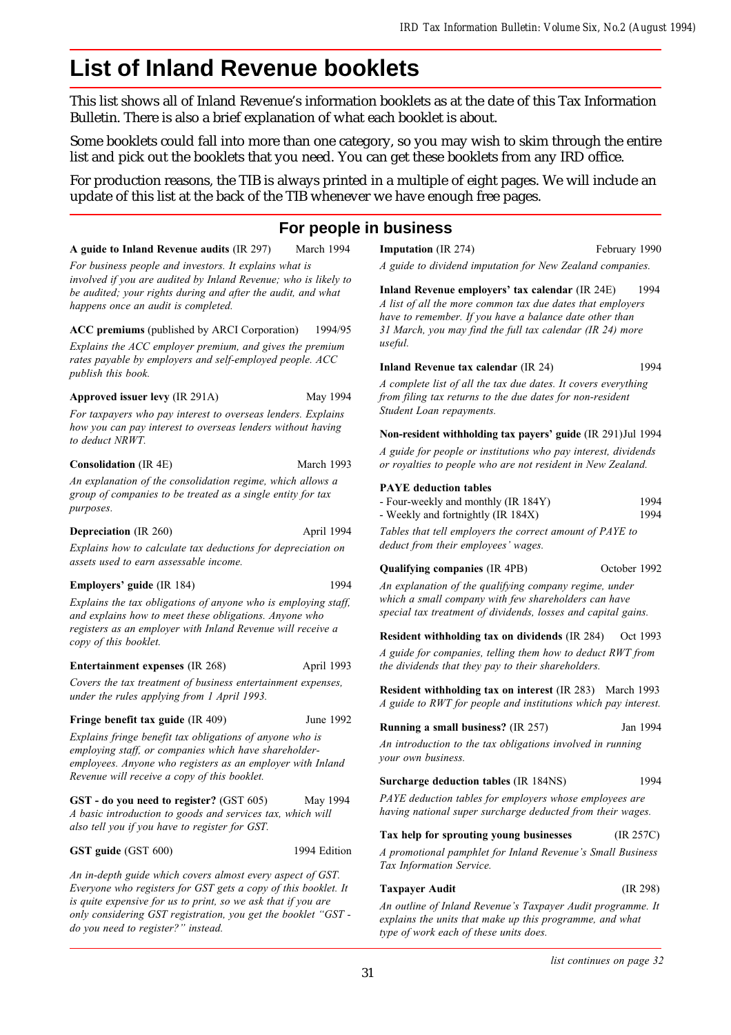## **List of Inland Revenue booklets**

This list shows all of Inland Revenue's information booklets as at the date of this Tax Information Bulletin. There is also a brief explanation of what each booklet is about.

Some booklets could fall into more than one category, so you may wish to skim through the entire list and pick out the booklets that you need. You can get these booklets from any IRD office.

For production reasons, the TIB is always printed in a multiple of eight pages. We will include an update of this list at the back of the TIB whenever we have enough free pages.

## **For people in business**

A guide to Inland Revenue audits (IR 297) March 1994

For business people and investors. It explains what is involved if you are audited by Inland Revenue; who is likely to be audited; your rights during and after the audit, and what happens once an audit is completed.

ACC premiums (published by ARCI Corporation) 1994/95 Explains the ACC employer premium, and gives the premium rates payable by employers and self-employed people. ACC publish this book.

#### Approved issuer levy (IR 291A) May 1994

For taxpayers who pay interest to overseas lenders. Explains how you can pay interest to overseas lenders without having to deduct NRWT.

#### Consolidation (IR 4E) March 1993

An explanation of the consolidation regime, which allows a group of companies to be treated as a single entity for tax purposes.

#### Depreciation (IR 260) April 1994

Explains how to calculate tax deductions for depreciation on assets used to earn assessable income.

#### Employers' guide (IR 184) 1994

Explains the tax obligations of anyone who is employing staff, and explains how to meet these obligations. Anyone who registers as an employer with Inland Revenue will receive a copy of this booklet.

#### Entertainment expenses (IR 268) April 1993

Covers the tax treatment of business entertainment expenses, under the rules applying from 1 April 1993.

#### Fringe benefit tax guide (IR 409) June 1992

Explains fringe benefit tax obligations of anyone who is employing staff, or companies which have shareholderemployees. Anyone who registers as an employer with Inland Revenue will receive a copy of this booklet.

GST - do you need to register? (GST 605) May 1994 A basic introduction to goods and services tax, which will also tell you if you have to register for GST.

#### GST guide (GST 600) 1994 Edition

An in-depth guide which covers almost every aspect of GST. Everyone who registers for GST gets a copy of this booklet. It is quite expensive for us to print, so we ask that if you are only considering GST registration, you get the booklet "GST do you need to register? instead.

**Imputation** (IR 274) February 1990

A guide to dividend imputation for New Zealand companies.

Inland Revenue employers' tax calendar (IR 24E) 1994 A list of all the more common tax due dates that employers have to remember. If you have a balance date other than 31 March, you may find the full tax calendar (IR 24) more useful.

#### Inland Revenue tax calendar (IR 24) 1994

A complete list of all the tax due dates. It covers everything from filing tax returns to the due dates for non-resident Student Loan repayments.

#### Non-resident withholding tax payers' guide (IR 291)Jul 1994

A guide for people or institutions who pay interest, dividends or royalties to people who are not resident in New Zealand.

#### PAYE deduction tables

| - Four-weekly and monthly (IR 184Y) | 1994 |
|-------------------------------------|------|
| - Weekly and fortnightly (IR 184X)  | 1994 |

Tables that tell employers the correct amount of PAYE to deduct from their employees' wages.

#### Qualifying companies (IR 4PB) October 1992

An explanation of the qualifying company regime, under

which a small company with few shareholders can have special tax treatment of dividends, losses and capital gains.

Resident withholding tax on dividends (IR 284) Oct 1993

A guide for companies, telling them how to deduct RWT from the dividends that they pay to their shareholders.

Resident withholding tax on interest (IR 283) March 1993 A guide to RWT for people and institutions which pay interest.

#### Running a small business? (IR 257) Jan 1994

An introduction to the tax obligations involved in running your own business.

#### Surcharge deduction tables (IR 184NS) 1994

PAYE deduction tables for employers whose employees are having national super surcharge deducted from their wages.

#### Tax help for sprouting young businesses (IR 257C)

A promotional pamphlet for Inland Revenue's Small Business Tax Information Service.

#### Taxpayer Audit (IR 298)

An outline of Inland Revenue's Taxpayer Audit programme. It explains the units that make up this programme, and what type of work each of these units does.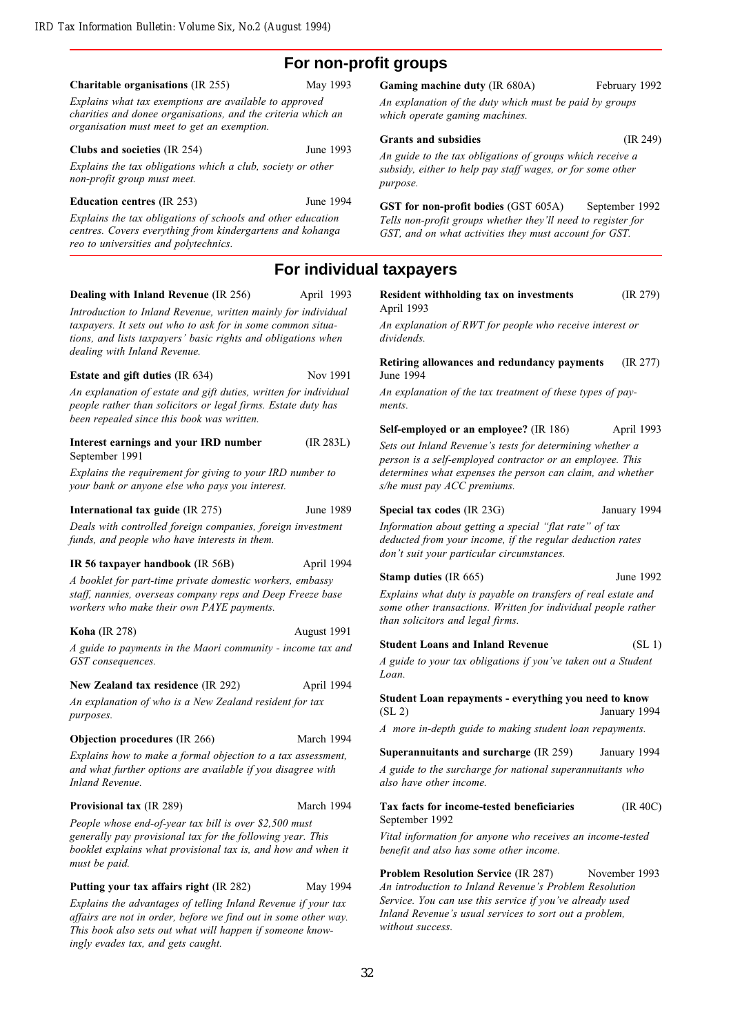## **For non-profit groups**

#### Charitable organisations (IR 255) May 1993

Explains what tax exemptions are available to approved charities and donee organisations, and the criteria which an organisation must meet to get an exemption.

#### Clubs and societies (IR 254) June 1993

Explains the tax obligations which a club, society or other non-profit group must meet.

#### Education centres (IR 253) June 1994

Explains the tax obligations of schools and other education centres. Covers everything from kindergartens and kohanga reo to universities and polytechnics.

#### Dealing with Inland Revenue (IR 256) April 1993

Introduction to Inland Revenue, written mainly for individual taxpayers. It sets out who to ask for in some common situa-

tions, and lists taxpayers' basic rights and obligations when dealing with Inland Revenue.

#### Estate and gift duties (IR 634) Nov 1991

An explanation of estate and gift duties, written for individual people rather than solicitors or legal firms. Estate duty has been repealed since this book was written.

#### Interest earnings and your IRD number (IR 283L) September 1991

Explains the requirement for giving to your IRD number to your bank or anyone else who pays you interest.

#### International tax guide (IR 275) June 1989

Deals with controlled foreign companies, foreign investment funds, and people who have interests in them.

#### IR 56 taxpayer handbook (IR 56B) April 1994

A booklet for part-time private domestic workers, embassy staff, nannies, overseas company reps and Deep Freeze base workers who make their own PAYE payments.

#### Koha (IR 278) August 1991

A guide to payments in the Maori community - income tax and GST consequences.

#### New Zealand tax residence (IR 292) April 1994

An explanation of who is a New Zealand resident for tax purposes.

#### **Objection procedures** (IR 266) March 1994

Explains how to make a formal objection to a tax assessment, and what further options are available if you disagree with Inland Revenue.

#### Provisional tax (IR 289) March 1994

People whose end-of-year tax bill is over \$2,500 must generally pay provisional tax for the following year. This booklet explains what provisional tax is, and how and when it must be paid.

Putting your tax affairs right (IR 282) May 1994

Explains the advantages of telling Inland Revenue if your tax affairs are not in order, before we find out in some other way. This book also sets out what will happen if someone knowingly evades tax, and gets caught.

#### Gaming machine duty (IR 680A) February 1992

An explanation of the duty which must be paid by groups which operate gaming machines.

Grants and subsidies (IR 249)

#### An guide to the tax obligations of groups which receive a subsidy, either to help pay staff wages, or for some other

purpose.

GST for non-profit bodies (GST 605A) September 1992 Tells non-profit groups whether they'll need to register for GST, and on what activities they must account for GST.

#### **For individual taxpayers**

| Resident withholding tax on investments | (IR 279) |
|-----------------------------------------|----------|
| April 1993                              |          |

An explanation of RWT for people who receive interest or dividends.

Retiring allowances and redundancy payments (IR 277) June 1994

An explanation of the tax treatment of these types of payments.

Self-employed or an employee? (IR 186) April 1993

Sets out Inland Revenue's tests for determining whether a person is a self-employed contractor or an employee. This determines what expenses the person can claim, and whether s/he must pay ACC premiums.

#### Special tax codes (IR 23G) January 1994

Information about getting a special "flat rate" of tax deducted from your income, if the regular deduction rates don't suit your particular circumstances.

#### Stamp duties (IR 665) June 1992

Explains what duty is payable on transfers of real estate and some other transactions. Written for individual people rather than solicitors and legal firms.

Student Loans and Inland Revenue (SL 1)

A guide to your tax obligations if you've taken out a Student Loan.

Student Loan repayments - everything you need to know (SL 2) January 1994

A more in-depth guide to making student loan repayments.

#### Superannuitants and surcharge (IR 259) January 1994

A guide to the surcharge for national superannuitants who also have other income.

#### Tax facts for income-tested beneficiaries (IR 40C) September 1992

Vital information for anyone who receives an income-tested benefit and also has some other income.

Problem Resolution Service (IR 287) November 1993 An introduction to Inland Revenue's Problem Resolution Service. You can use this service if you've already used Inland Revenue's usual services to sort out a problem, without success.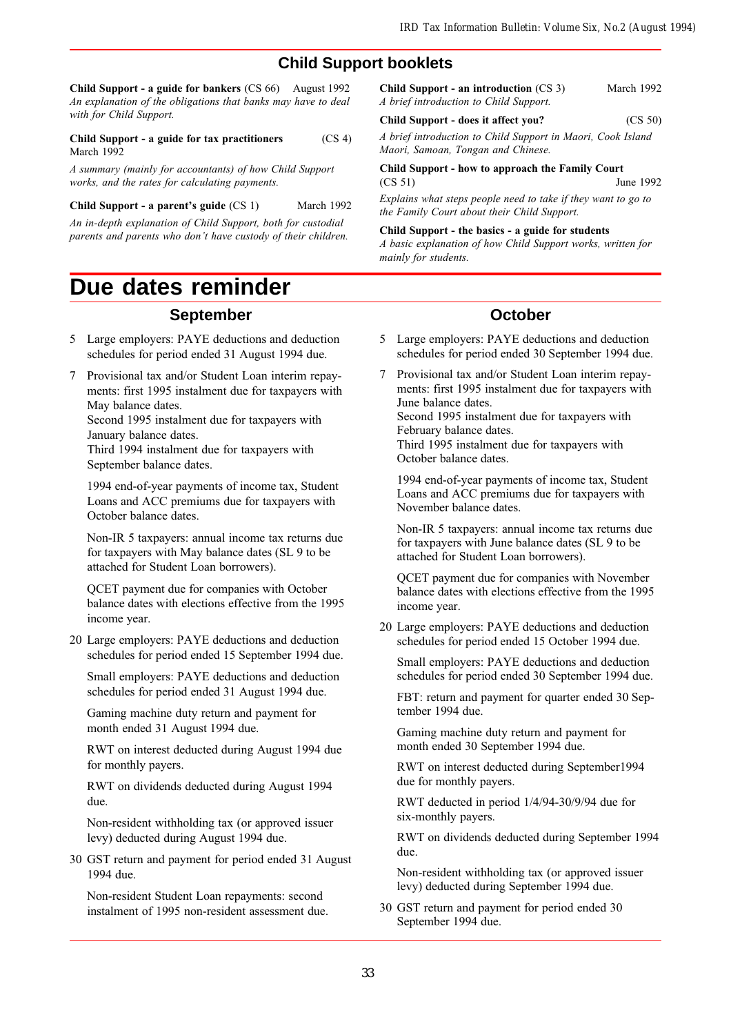## **Child Support booklets**

Child Support - a guide for bankers (CS 66) August 1992 An explanation of the obligations that banks may have to deal with for Child Support.

Child Support - a guide for tax practitioners (CS 4) March 1992

A summary (mainly for accountants) of how Child Support works, and the rates for calculating payments.

Child Support - a parent's guide (CS 1) March 1992

An in-depth explanation of Child Support, both for custodial parents and parents who don't have custody of their children.

## **Due dates reminder**

#### **September**

- 5 Large employers: PAYE deductions and deduction schedules for period ended 31 August 1994 due.
- 7 Provisional tax and/or Student Loan interim repayments: first 1995 instalment due for taxpayers with May balance dates. Second 1995 instalment due for taxpayers with January balance dates. Third 1994 instalment due for taxpayers with

September balance dates.

1994 end-of-year payments of income tax, Student Loans and ACC premiums due for taxpayers with October balance dates.

Non-IR 5 taxpayers: annual income tax returns due for taxpayers with May balance dates (SL 9 to be attached for Student Loan borrowers).

QCET payment due for companies with October balance dates with elections effective from the 1995 income year.

20 Large employers: PAYE deductions and deduction schedules for period ended 15 September 1994 due.

Small employers: PAYE deductions and deduction schedules for period ended 31 August 1994 due.

Gaming machine duty return and payment for month ended 31 August 1994 due.

RWT on interest deducted during August 1994 due for monthly payers.

RWT on dividends deducted during August 1994 due.

Non-resident withholding tax (or approved issuer levy) deducted during August 1994 due.

30 GST return and payment for period ended 31 August 1994 due.

Non-resident Student Loan repayments: second instalment of 1995 non-resident assessment due.

| Child Support - an introduction $(CS_3)$ | March 1992 |
|------------------------------------------|------------|
| A brief introduction to Child Support.   |            |

#### Child Support - does it affect you? (CS 50)

A brief introduction to Child Support in Maori, Cook Island Maori, Samoan, Tongan and Chinese.

#### Child Support - how to approach the Family Court (CS 51) June 1992

Explains what steps people need to take if they want to go to the Family Court about their Child Support.

#### Child Support - the basics - a guide for students

A basic explanation of how Child Support works, written for mainly for students.

#### **October**

- 5 Large employers: PAYE deductions and deduction schedules for period ended 30 September 1994 due.
- 7 Provisional tax and/or Student Loan interim repayments: first 1995 instalment due for taxpayers with June balance dates.

Second 1995 instalment due for taxpayers with February balance dates.

Third 1995 instalment due for taxpayers with October balance dates.

1994 end-of-year payments of income tax, Student Loans and ACC premiums due for taxpayers with November balance dates.

Non-IR 5 taxpayers: annual income tax returns due for taxpayers with June balance dates (SL 9 to be attached for Student Loan borrowers).

QCET payment due for companies with November balance dates with elections effective from the 1995 income year.

20 Large employers: PAYE deductions and deduction schedules for period ended 15 October 1994 due.

Small employers: PAYE deductions and deduction schedules for period ended 30 September 1994 due.

FBT: return and payment for quarter ended 30 September 1994 due.

Gaming machine duty return and payment for month ended 30 September 1994 due.

RWT on interest deducted during September1994 due for monthly payers.

RWT deducted in period 1/4/94-30/9/94 due for six-monthly payers.

RWT on dividends deducted during September 1994 due.

Non-resident withholding tax (or approved issuer levy) deducted during September 1994 due.

30 GST return and payment for period ended 30 September 1994 due.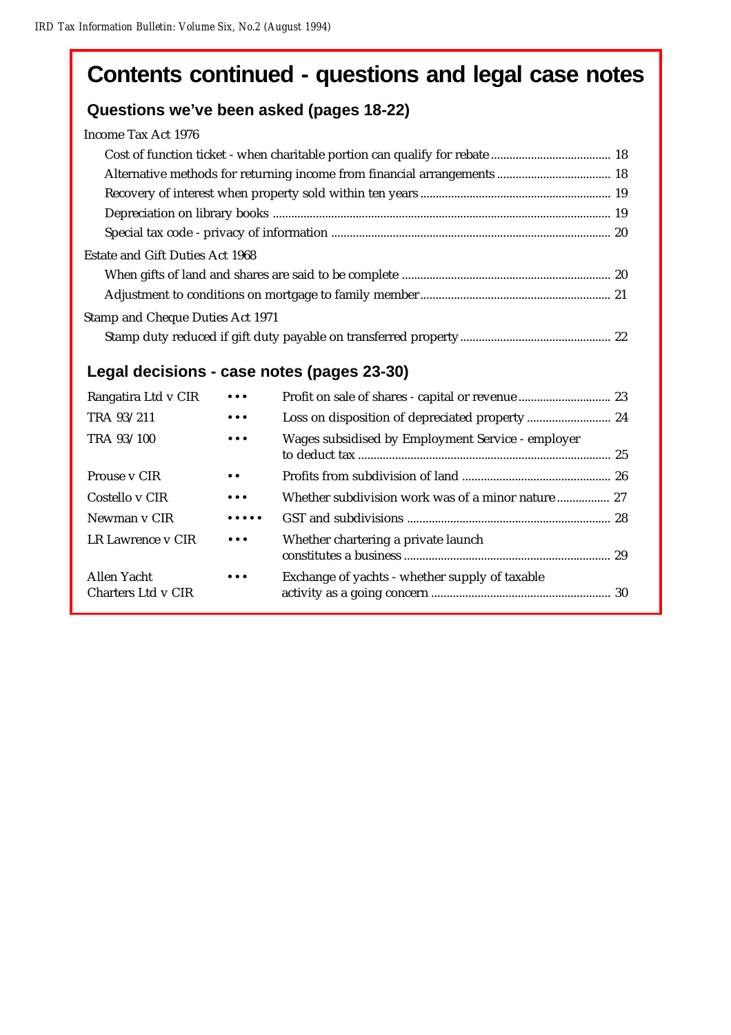# **Contents continued - questions and legal case notes**

## **Questions we've been asked (pages 18-22)**

| Income Tax Act 1976 |  |  |
|---------------------|--|--|
|                     |  |  |

| <b>Estate and Gift Duties Act 1968</b>  |  |
|-----------------------------------------|--|
|                                         |  |
|                                         |  |
| <b>Stamp and Cheque Duties Act 1971</b> |  |
|                                         |  |

## **Legal decisions - case notes (pages 23-30)**

| Rangatira Ltd v CIR               | $\bullet\bullet\bullet$               |                                                   |  |
|-----------------------------------|---------------------------------------|---------------------------------------------------|--|
| TRA 93/211                        | $\bullet\bullet\bullet$               |                                                   |  |
| TRA 93/100                        | $\bullet\bullet\bullet$               | Wages subsidised by Employment Service - employer |  |
| Prouse v CIR                      | $\bullet$ $\bullet$                   |                                                   |  |
| Costello y CIR                    | $\bullet\bullet\bullet$               | Whether subdivision work was of a minor nature 27 |  |
| Newman y CIR                      | $\bullet\bullet\bullet\bullet\bullet$ |                                                   |  |
| LR Lawrence v CIR                 | $\bullet\bullet\bullet$               | Whether chartering a private launch               |  |
| Allen Yacht<br>Charters Ltd v CIR | $\bullet\bullet\bullet$               | Exchange of yachts - whether supply of taxable    |  |